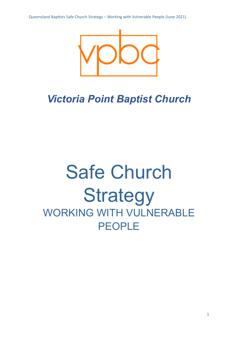

## *Victoria Point Baptist Church*

# Safe Church **Strategy** WORKING WITH VULNERABLE PEOPLE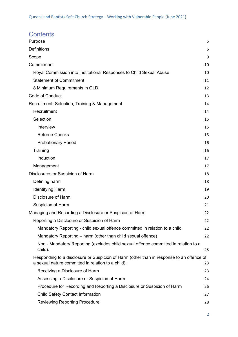### **Contents**

| Purpose                                                                                                                                        | 5  |
|------------------------------------------------------------------------------------------------------------------------------------------------|----|
| <b>Definitions</b>                                                                                                                             | 6  |
| Scope                                                                                                                                          | 9  |
| Commitment                                                                                                                                     | 10 |
| Royal Commission into Institutional Responses to Child Sexual Abuse                                                                            | 10 |
| <b>Statement of Commitment</b>                                                                                                                 | 11 |
| 8 Minimum Requirements in QLD                                                                                                                  | 12 |
| Code of Conduct                                                                                                                                | 13 |
| Recruitment, Selection, Training & Management                                                                                                  | 14 |
| Recruitment                                                                                                                                    | 14 |
| Selection                                                                                                                                      | 15 |
| Interview                                                                                                                                      | 15 |
| <b>Referee Checks</b>                                                                                                                          | 15 |
| <b>Probationary Period</b>                                                                                                                     | 16 |
| Training                                                                                                                                       | 16 |
| Induction                                                                                                                                      | 17 |
| Management                                                                                                                                     | 17 |
| Disclosures or Suspicion of Harm                                                                                                               | 18 |
| Defining harm                                                                                                                                  | 18 |
| <b>Identifying Harm</b>                                                                                                                        | 19 |
| Disclosure of Harm                                                                                                                             | 20 |
| Suspicion of Harm                                                                                                                              | 21 |
| Managing and Recording a Disclosure or Suspicion of Harm                                                                                       | 22 |
| Reporting a Disclosure or Suspicion of Harm                                                                                                    | 22 |
| Mandatory Reporting - child sexual offence committed in relation to a child.                                                                   | 22 |
| Mandatory Reporting - harm (other than child sexual offence)                                                                                   | 22 |
| Non - Mandatory Reporting (excludes child sexual offence committed in relation to a<br>child).                                                 | 23 |
| Responding to a disclosure or Suspicion of Harm (other than in response to an offence of<br>a sexual nature committed in relation to a child). | 23 |
| Receiving a Disclosure of Harm                                                                                                                 | 23 |
| Assessing a Disclosure or Suspicion of Harm                                                                                                    | 24 |
| Procedure for Recording and Reporting a Disclosure or Suspicion of Harm                                                                        | 26 |
| <b>Child Safety Contact Information</b>                                                                                                        | 27 |
| <b>Reviewing Reporting Procedure</b>                                                                                                           | 28 |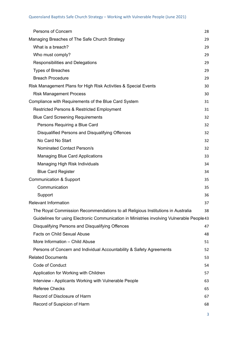| <b>Persons of Concern</b>                                                                  | 28 |
|--------------------------------------------------------------------------------------------|----|
| Managing Breaches of The Safe Church Strategy                                              | 29 |
| What is a breach?                                                                          | 29 |
| Who must comply?                                                                           | 29 |
| Responsibilities and Delegations                                                           | 29 |
| <b>Types of Breaches</b>                                                                   | 29 |
| <b>Breach Procedure</b>                                                                    | 29 |
| Risk Management Plans for High Risk Activities & Special Events                            | 30 |
| <b>Risk Management Process</b>                                                             | 30 |
| Compliance with Requirements of the Blue Card System                                       | 31 |
| <b>Restricted Persons &amp; Restricted Employment</b>                                      | 31 |
| <b>Blue Card Screening Requirements</b>                                                    | 32 |
| Persons Requiring a Blue Card                                                              | 32 |
| Disqualified Persons and Disqualifying Offences                                            | 32 |
| No Card No Start                                                                           | 32 |
| <b>Nominated Contact Person/s</b>                                                          | 32 |
| <b>Managing Blue Card Applications</b>                                                     | 33 |
| Managing High Risk Individuals                                                             | 34 |
| <b>Blue Card Register</b>                                                                  | 34 |
| <b>Communication &amp; Support</b>                                                         | 35 |
| Communication                                                                              | 35 |
| Support                                                                                    | 36 |
| <b>Relevant Information</b>                                                                | 37 |
| The Royal Commission Recommendations to all Religious Institutions in Australia            | 38 |
| Guidelines for using Electronic Communication in Ministries involving Vulnerable People 43 |    |
| Disqualifying Persons and Disqualifying Offences                                           | 47 |
| <b>Facts on Child Sexual Abuse</b>                                                         | 48 |
| More Information - Child Abuse                                                             | 51 |
| Persons of Concern and Individual Accountability & Safety Agreements                       | 52 |
| <b>Related Documents</b>                                                                   | 53 |
| Code of Conduct                                                                            | 54 |
| Application for Working with Children                                                      | 57 |
| Interview - Applicants Working with Vulnerable People                                      | 63 |
| <b>Referee Checks</b>                                                                      | 65 |
| Record of Disclosure of Harm                                                               | 67 |
| Record of Suspicion of Harm                                                                | 68 |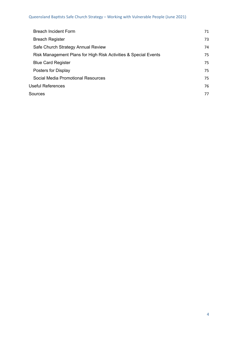| <b>Breach Incident Form</b>                                     | 71 |
|-----------------------------------------------------------------|----|
| <b>Breach Register</b>                                          | 73 |
| Safe Church Strategy Annual Review                              | 74 |
| Risk Management Plans for High Risk Activities & Special Events | 75 |
| <b>Blue Card Register</b>                                       | 75 |
| Posters for Display                                             | 75 |
| <b>Social Media Promotional Resources</b>                       | 75 |
| <b>Useful References</b>                                        | 76 |
| Sources                                                         | 77 |
|                                                                 |    |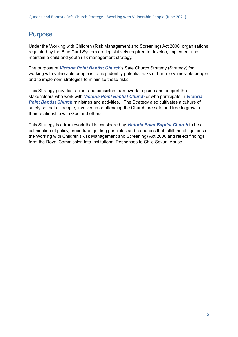### <span id="page-4-0"></span>Purpose

Under the Working with Children (Risk Management and Screening) Act 2000, organisations regulated by the Blue Card System are legislatively required to develop, implement and maintain a child and youth risk management strategy.

The purpose of *Victoria Point Baptist Church*'s Safe Church Strategy (Strategy) for working with vulnerable people is to help identify potential risks of harm to vulnerable people and to implement strategies to minimise these risks.

This Strategy provides a clear and consistent framework to guide and support the stakeholders who work with *Victoria Point Baptist Church* or who participate in *Victoria Point Baptist Church* ministries and activities. The Strategy also cultivates a culture of safety so that all people, involved in or attending the Church are safe and free to grow in their relationship with God and others.

This Strategy is a framework that is considered by *Victoria Point Baptist Church* to be a culmination of policy, procedure, guiding principles and resources that fulfill the obligations of the Working with Children (Risk Management and Screening) Act 2000 and reflect findings form the Royal Commission into Institutional Responses to Child Sexual Abuse.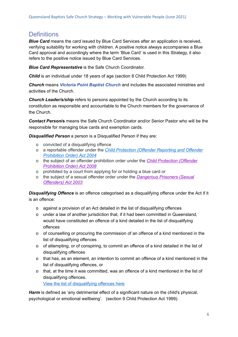### <span id="page-5-0"></span>**Definitions**

*Blue Card* means the card issued by Blue Card Services after an application is received, verifying suitability for working with children. A positive notice always accompanies a Blue Card approval and accordingly where the term 'Blue Card' is used in this Strategy, it also refers to the positive notice issued by Blue Card Services.

*Blue Card Representative* is the Safe Church Coordinator.

*Child* is an individual under 18 years of age (section 8 Child Protection Act 1999)

*Church* means *Victoria Point Baptist Church* and includes the associated ministries and activities of the Church.

*Church Leader/s/ship* refers to persons appointed by the Church according to its constitution as responsible and accountable to the Church members for the governance of the Church.

*Contact Person***/s** means the Safe Church Coordinator and/or Senior Pastor who will be the responsible for managing blue cards and exemption cards.

*Disqualified Person* a person is a Disqualified Person if they are:

- o convicted of a disqualifying offence
- o a reportable offender under the *Child [Protection](https://www.legislation.qld.gov.au/view/pdf/inforce/2017-07-01/act-2004-052) (Offender Reporting and Offender [Prohibition](https://www.legislation.qld.gov.au/view/pdf/inforce/2017-07-01/act-2004-052) Order) Act 2004*
- o the subject of an offender prohibition order under the *Child [Protection](https://www.legislation.qld.gov.au/view/pdf/repealed/2017-03-05/act-2008-017) (Offender [Prohibition](https://www.legislation.qld.gov.au/view/pdf/repealed/2017-03-05/act-2008-017) Order) Act 2008*
- o prohibited by a court from applying for or holding a blue card or
- o the subject of a sexual offender order under the *[Dangerous](https://www.legislation.qld.gov.au/view/pdf/inforce/2013-04-05/act-2003-040) Prisoners (Sexual [Offenders\)](https://www.legislation.qld.gov.au/view/pdf/inforce/2013-04-05/act-2003-040) Act 2003*

*Disqualifying Offence* is an offence categorised as a disqualifying offence under the Act if it is an offence:

- o against a provision of an Act detailed in the list of disqualifying offences
- o under a law of another jurisdiction that, if it had been committed in Queensland, would have constituted an offence of a kind detailed in the list of disqualifying offences
- o of counselling or procuring the commission of an offence of a kind mentioned in the list of disqualifying offences
- o of attempting, or of conspiring, to commit an offence of a kind detailed in the list of disqualifying offences
- o that has, as an element, an intention to commit an offence of a kind mentioned in the list of disqualifying offences, or
- o that, at the time it was committed, was an offence of a kind mentioned in the list of disqualifying offences.

View the list of [disqualifying](https://www.qld.gov.au/law/laws-regulated-industries-and-accountability/queensland-laws-and-regulations/regulated-industries-and-licensing/blue-card/eligible/disqualifying-offences) offences here

*Harm* is defined as 'any detrimental effect of a significant nature on the child's physical, psychological or emotional wellbeing'. (section 9 Child Protection Act 1999).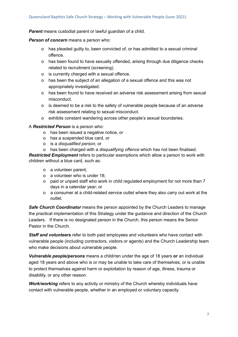*Parent* means custodial parent or lawful guardian of a child.

#### *Person of concern* means a person who:

- o has pleaded guilty to, been convicted of, or has admitted to a sexual criminal offence.
- o has been found to have sexually offended, arising through due diligence checks related to recruitment (screening).
- o is currently charged with a sexual offence.
- o has been the subject of an allegation of a sexual offence and this was not appropriately investigated.
- o has been found to have received an adverse risk assessment arising from sexual misconduct.
- o is deemed to be a risk to the safety of vulnerable people because of an adverse risk assessment relating to sexual misconduct.
- o exhibits constant wandering across other people's sexual boundaries.

#### A *Restricted Person* is a person who:

- o has been issued a negative notice, or
- o has a suspended blue card, or
- o is a *disqualified person*, or
- o has been charged with a *disqualifying offence* which has not been finalised.

*Restricted Employment* refers to particular exemptions which allow a person to work with children without a blue card, such as:

- o a volunteer parent;
- o a volunteer who is under 18;
- o paid or unpaid staff who work in child regulated employment for not more than 7 days in a calendar year; or
- o a consumer at a child-related service outlet where they also carry out work at the outlet.

*Safe Church Coordinator* means the person appointed by the Church Leaders to manage the practical implementation of this Strategy under the guidance and direction of the Church Leaders. If there is no designated person in the Church, this person means the Senior Pastor in the Church.

*Staff and volunteers* refer to both paid employees and volunteers who have contact with vulnerable people (including contractors, visitors or agents) and the Church Leadership team who make decisions about vulnerable people.

*Vulnerable people/persons* means a child/ren under the age of 18 years **or** an individual aged 18 years and above who is or may be unable to take care of themselves, or is unable to protect themselves against harm or exploitation by reason of age, illness, trauma or disability, or any other reason.

*Work/working* refers to any activity or ministry of the Church whereby individuals have contact with vulnerable people, whether in an employed or voluntary capacity.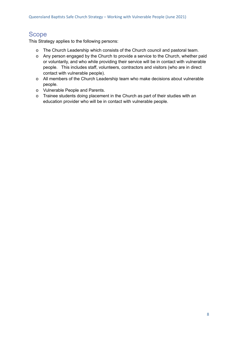### <span id="page-7-0"></span>Scope

This Strategy applies to the following persons:

- o The Church Leadership which consists of the Church council and pastoral team.
- o Any person engaged by the Church to provide a service to the Church, whether paid or voluntarily, and who while providing their service will be in contact with vulnerable people. This includes staff, volunteers, contractors and visitors (who are in direct contact with vulnerable people).
- o All members of the Church Leadership team who make decisions about vulnerable people.
- o Vulnerable People and Parents.
- o Trainee students doing placement in the Church as part of their studies with an education provider who will be in contact with vulnerable people.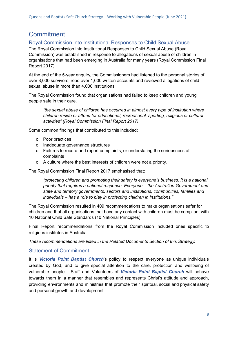### <span id="page-8-0"></span>**Commitment**

#### <span id="page-8-1"></span>Royal Commission into Institutional Responses to Child Sexual Abuse

The Royal Commission into Institutional Responses to Child Sexual Abuse (Royal Commission) was established in response to allegations of sexual abuse of children in organisations that had been emerging in Australia for many years (Royal Commission Final Report 2017).

At the end of the 5-year enquiry, the Commissioners had listened to the personal stories of over 8,000 survivors, read over 1,000 written accounts and reviewed allegations of child sexual abuse in more than 4,000 institutions.

The Royal Commission found that organisations had failed to keep children and young people safe in their care.

*"the sexual abuse of children has occurred in almost every type of institution where children reside or attend for educational, recreational, sporting, religious or cultural activities" (Royal Commission Final Report 2017).*

Some common findings that contributed to this included:

- o Poor practices
- o Inadequate governance structures
- o Failures to record and report complaints, or understating the seriousness of complaints
- o A culture where the best interests of children were not a priority.

The Royal Commission Final Report 2017 emphasised that:

*"protecting children and promoting their safety is everyone's business. It is a national priority that requires a national response. Everyone – the Australian Government and state and territory governments, sectors and institutions, communities, families and individuals – has a role to play in protecting children in institutions."*

The Royal Commission resulted in 409 recommendations to make organisations safer for children and that all organisations that have any contact with children must be compliant with 10 National Child Safe Standards (10 National Principles).

Final Report recommendations from the Royal Commission included ones specific to religious institutes in Australia.

*These recommendations are listed in the Related Documents Section of this Strategy.*

#### <span id="page-8-2"></span>Statement of Commitment

It is *Victoria Point Baptist Church*'s policy to respect everyone as unique individuals created by God, and to give special attention to the care, protection and wellbeing of vulnerable people. Staff and Volunteers of *Victoria Point Baptist Church* will behave towards them in a manner that resembles and represents Christ's attitude and approach, providing environments and ministries that promote their spiritual, social and physical safety and personal growth and development.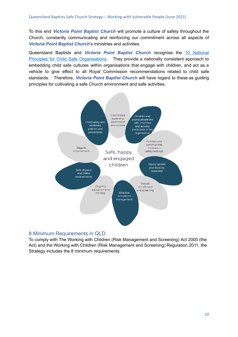To this end *Victoria Point Baptist Church* will promote a culture of safety throughout the Church, constantly communicating and reinforcing our commitment across all aspects of *Victoria Point Baptist Church*'s ministries and activities.

Queensland Baptists and *Victoria Point Baptist Church* recognise the 10 [National](https://childsafe.humanrights.gov.au/sites/default/files/2019-02/National_Principles_for_Child_Safe_Organisations2019.pdf) Principles for Child Safe [Organisations](https://childsafe.humanrights.gov.au/sites/default/files/2019-02/National_Principles_for_Child_Safe_Organisations2019.pdf). They provide a nationally consistent approach to embedding child safe cultures within organisations that engage with children, and act as a vehicle to give effect to all Royal Commission recommendations related to child safe standards. Therefore, *Victoria Point Baptist Church* will have regard to these as guiding principles for cultivating a safe Church environment and safe activities.



#### <span id="page-9-0"></span>8 Minimum Requirements in QLD

To comply with The Working with Children (Risk Management and Screening) Act 2000 (the Act) and the Working with Children (Risk Management and Screening) Regulation 2011, the Strategy includes the 8 minimum requirements.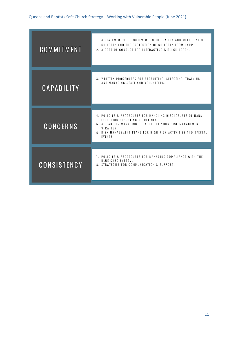| COMMITMENT        | 1. A STATEMENT OF COMMITMENT TO THE SAFETY AND WELLBEING OF<br>CHILDREN AND THE PROTECTION OF CHILDREN FROM HARM.<br>2. A CODE OF CONDUCT FOR INTERACTING WITH CHILDREN.                                                                        |
|-------------------|-------------------------------------------------------------------------------------------------------------------------------------------------------------------------------------------------------------------------------------------------|
| <b>CAPABILITY</b> | 3. WRITTEN PROCEDURES FOR RECRUITING, SELECTING, TRAINING<br>AND MANAGING STAFF AND VOLUNTEERS.                                                                                                                                                 |
| <b>CONCERNS</b>   | 4. POLICIES & PROCEDURES FOR HANDLING DISCLOSURES OF HARM.<br>INCLUDING REPORTING GUIDELINES.<br>5. A PLAN FOR MANAGING BREACHES OF YOUR RISK MANAGEMENT<br>STRATEGY.<br>6 RISK MANAGEMENT PLANS FOR HIGH RISK ACTIVITIES AND SPECIAL<br>EVENTS |
| CONSISTENCY       | 7. POLICIES & PROCEDURES FOR MANAGING COMPLIANCE WITH THE<br><b>BLUE CARD SYSTEM.</b><br>8. STRATEGIES FOR COMMUNICATION & SUPPORT.                                                                                                             |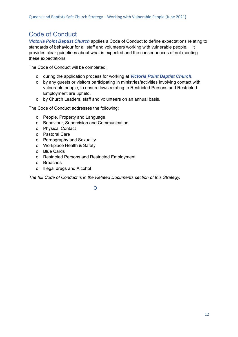### <span id="page-11-0"></span>Code of Conduct

*Victoria Point Baptist Church* applies a Code of Conduct to define expectations relating to standards of behaviour for all staff and volunteers working with vulnerable people. It provides clear guidelines about what is expected and the consequences of not meeting these expectations.

The Code of Conduct will be completed:

- o during the application process for working at *Victoria Point Baptist Church*.
- o by any guests or visitors participating in ministries/activities involving contact with vulnerable people, to ensure laws relating to Restricted Persons and Restricted Employment are upheld.
- o by Church Leaders, staff and volunteers on an annual basis.

The Code of Conduct addresses the following:

- o People, Property and Language
- o Behaviour, Supervision and Communication
- o Physical Contact
- o Pastoral Care
- o Pornography and Sexuality
- o Workplace Health & Safety
- o Blue Cards
- o Restricted Persons and Restricted Employment
- o Breaches
- o Illegal drugs and Alcohol

*The full Code of Conduct is in the Related Documents section of this Strategy.*

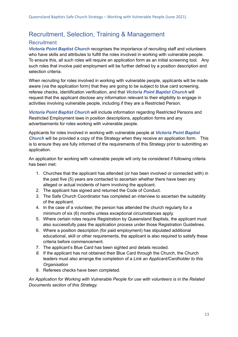### <span id="page-12-0"></span>Recruitment, Selection, Training & Management

#### <span id="page-12-1"></span>**Recruitment**

*Victoria Point Baptist Church* recognises the importance of recruiting staff and volunteers who have skills and attributes to fulfill the roles involved in working with vulnerable people. To ensure this, all such roles will require an application form as an initial screening tool. Any such roles that involve paid employment will be further defined by a position description and selection criteria.

When recruiting for roles involved in working with vulnerable people, applicants will be made aware (via the application form) that they are going to be subject to blue card screening, referee checks, identification verification, and that *Victoria Point Baptist Church* will request that the applicant disclose any information relevant to their eligibility to engage in activities involving vulnerable people, including if they are a Restricted Person.

*Victoria Point Baptist Church* will include information regarding Restricted Persons and Restricted Employment laws in position descriptions, application forms and any advertisements for roles working with vulnerable people.

Applicants for roles involved in working with vulnerable people at *Victoria Point Baptist Church* will be provided a copy of this Strategy when they receive an application form. This is to ensure they are fully informed of the requirements of this Strategy prior to submitting an application.

An application for working with vulnerable people will only be considered if following criteria has been met:

- 1. Churches that the applicant has attended (or has been involved or connected with) in the past five (5) years are contacted to ascertain whether there have been any alleged or actual incidents of harm involving the applicant.
- 2. The applicant has signed and returned the Code of Conduct.
- 3. The Safe Church Coordinator has completed an interview to ascertain the suitability of the applicant.
- 4. In the case of a volunteer, the person has attended the church regularly for a minimum of six (6) months unless exceptional circumstances apply.
- 5. Where certain roles require Registration by Queensland Baptists, the applicant must also successfully pass the application process under those Registration Guidelines.
- 6. Where a position description (for paid employment) has stipulated additional educational, skill or other requirements, the applicant is also required to satisfy these criteria before commencement.
- 7. The applicant's Blue Card has been sighted and details recoded.
- *8.* If the applicant has not obtained their Blue Card through the Church, the Church leaders must also arrange the completion of a *Link an Applicant/Cardholder to this Organisation*
- 9. Referees checks have been completed.

*An Application for Working with Vulnerable People for use with volunteers is in the Related Documents section of this Strategy.*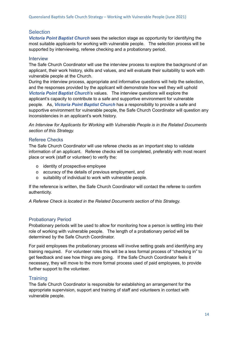#### <span id="page-13-0"></span>**Selection**

*Victoria Point Baptist Church* sees the selection stage as opportunity for identifying the most suitable applicants for working with vulnerable people. The selection process will be supported by interviewing, referee checking and a probationary period.

#### <span id="page-13-1"></span>**Interview**

The Safe Church Coordinator will use the interview process to explore the background of an applicant, their work history, skills and values, and will evaluate their suitability to work with vulnerable people at the Church.

During the interview process, appropriate and informative questions will help the selection, and the responses provided by the applicant will demonstrate how well they will uphold *Victoria Point Baptist Church*'s values. The interview questions will explore the applicant's capacity to contribute to a safe and supportive environment for vulnerable people. As, *Victoria Point Baptist Church* has a responsibility to provide a safe and supportive environment for vulnerable people, the Safe Church Coordinator will question any inconsistencies in an applicant's work history.

*An Interview for Applicants for Working with Vulnerable People is in the Related Documents section of this Strategy.*

#### <span id="page-13-2"></span>Referee Checks

The Safe Church Coordinator will use referee checks as an important step to validate information of an applicant. Referee checks will be completed, preferably with most recent place or work (staff or volunteer) to verify the:

- o identity of prospective employee
- o accuracy of the details of previous employment, and
- o suitability of individual to work with vulnerable people.

If the reference is written, the Safe Church Coordinator will contact the referee to confirm authenticity.

*A Referee Check is located in the Related Documents section of this Strategy.*

#### <span id="page-13-3"></span>Probationary Period

Probationary periods will be used to allow for monitoring how a person is settling into their role of working with vulnerable people. The length of a probationary period will be determined by the Safe Church Coordinator.

For paid employees the probationary process will involve setting goals and identifying any training required. For volunteer roles this will be a less formal process of "checking in" to get feedback and see how things are going. If the Safe Church Coordinator feels it necessary, they will move to the more formal process used of paid employees, to provide further support to the volunteer.

#### <span id="page-13-4"></span>**Training**

The Safe Church Coordinator is responsible for establishing an arrangement for the appropriate supervision, support and training of staff and volunteers in contact with vulnerable people.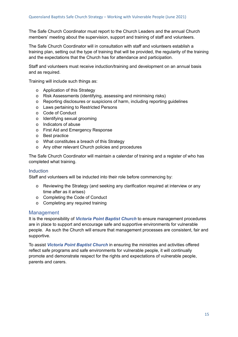The Safe Church Coordinator must report to the Church Leaders and the annual Church members' meeting about the supervision, support and training of staff and volunteers.

The Safe Church Coordinator will in consultation with staff and volunteers establish a training plan, setting out the type of training that will be provided, the regularity of the training and the expectations that the Church has for attendance and participation.

Staff and volunteers must receive induction/training and development on an annual basis and as required.

Training will include such things as:

- o Application of this Strategy
- o Risk Assessments (identifying, assessing and minimising risks)
- o Reporting disclosures or suspicions of harm, including reporting guidelines
- o Laws pertaining to Restricted Persons
- o Code of Conduct
- o Identifying sexual grooming
- o Indicators of abuse
- o First Aid and Emergency Response
- o Best practice
- o What constitutes a breach of this Strategy
- o Any other relevant Church policies and procedures

The Safe Church Coordinator will maintain a calendar of training and a register of who has completed what training.

#### <span id="page-14-0"></span>**Induction**

Staff and volunteers will be inducted into their role before commencing by:

- o Reviewing the Strategy (and seeking any clarification required at interview or any time after as it arises)
- o Completing the Code of Conduct
- o Completing any required training

#### <span id="page-14-1"></span>Management

It is the responsibility of *Victoria Point Baptist Church* to ensure management procedures are in place to support and encourage safe and supportive environments for vulnerable people. As such the Church will ensure that management processes are consistent, fair and supportive.

To assist *Victoria Point Baptist Church* in ensuring the ministries and activities offered reflect safe programs and safe environments for vulnerable people, it will continually promote and demonstrate respect for the rights and expectations of vulnerable people, parents and carers.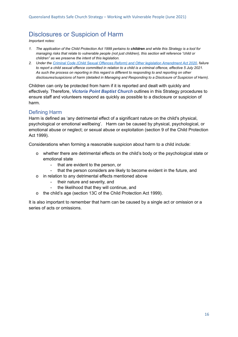### <span id="page-15-0"></span>Disclosures or Suspicion of Harm

*Important notes:*

- *1. The application of the Child Protection Act 1999 pertains to children and while this Strategy is a tool for managing risks that relate to vulnerable people (not just children), this section will reference "child or children" as we preserve the intent of this legislation.*
- *2. Under the [Criminal Code \(Child Sexual Offences Reform\)](https://www.legislation.qld.gov.au/view/html/asmade/act-2020-032) and Other legislation Amendment Act 2020, failure to report a child sexual offence committed in relation to a child is a criminal offence, effective 5 July 2021. As such the process on reporting in this regard is different to responding to and reporting on other disclosures/suspicions of harm (detailed in Managing and Responding to a Disclosure of Suspicion of Harm).*

Children can only be protected from harm if it is reported and dealt with quickly and effectively. Therefore, *Victoria Point Baptist Church* outlines in this Strategy procedures to ensure staff and volunteers respond as quickly as possible to a disclosure or suspicion of harm.

#### <span id="page-15-1"></span>Defining Harm

Harm is defined as 'any detrimental effect of a significant nature on the child's physical, psychological or emotional wellbeing'. Harm can be caused by physical, psychological, or emotional abuse or neglect; or sexual abuse or exploitation (section 9 of the Child Protection Act 1999).

Considerations when forming a reasonable suspicion about harm to a child include:

- o whether there are detrimental effects on the child's body or the psychological state or emotional state
	- that are evident to the person, or
	- that the person considers are likely to become evident in the future, and
- o in relation to any detrimental effects mentioned above
	- their nature and severity, and
	- the likelihood that they will continue, and
- o the child's age (section 13C of the Child Protection Act 1999).

It is also important to remember that harm can be caused by a single act or omission or a series of acts or omissions.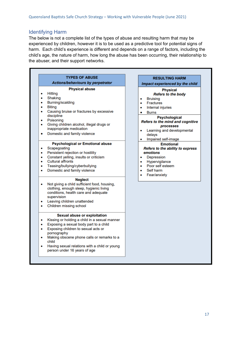#### <span id="page-16-0"></span>Identifying Harm

The below is not a complete list of the types of abuse and resulting harm that may be experienced by children, however it is to be used as a predictive tool for potential signs of harm. Each child's experience is different and depends on a range of factors, including the child's age, the nature of harm, how long the abuse has been occurring, their relationship to the abuser, and their support networks.

| <b>TYPES OF ABUSE</b>                                                                                                                                                                                                                                                                                                                                 | <b>RESULTING HARM</b>                                                                                                                                                                                                                                                                                 |
|-------------------------------------------------------------------------------------------------------------------------------------------------------------------------------------------------------------------------------------------------------------------------------------------------------------------------------------------------------|-------------------------------------------------------------------------------------------------------------------------------------------------------------------------------------------------------------------------------------------------------------------------------------------------------|
| Actions/behaviours by perpetrator                                                                                                                                                                                                                                                                                                                     | Impact experienced by the child                                                                                                                                                                                                                                                                       |
| <b>Physical abuse</b><br><b>Hitting</b><br>۰<br>Shaking<br>۰<br><b>Burning/scalding</b><br>٠<br><b>Biting</b><br>٠<br>Causing bruise or fractures by excessive<br>۰<br>discipline<br>Poisoning<br>۰<br>Giving children alcohol, illegal drugs or<br>٠<br>inappropriate medication<br>Domestic and family violence<br>۰                                | <b>Physical</b><br><b>Refers to the body</b><br><b>Bruising</b><br>۰<br><b>Fractures</b><br>۰<br>Internal injuries<br>٠<br><b>Burns</b><br>۰<br><b>Psychological</b><br><b>Refers to the mind and cognitive</b><br>processes<br>Learning and developmental<br>٠<br>delays<br>Impaired self-image<br>۰ |
| <b>Psychological or Emotional abuse</b><br>Scapegoating<br>٠<br>Persistent rejection or hostility<br>۰<br>Constant yelling, insults or criticism<br>۰<br><b>Cultural affronts</b><br>۰<br>Teasing/bullying/cyberbullying<br>٠<br>Domestic and family violence<br>٠                                                                                    | <b>Emotional</b><br>Refers to the ability to express<br>emotions<br>Depression<br>$\bullet$<br>Hypervigilance<br>۰<br>Poor self esteem<br>٠<br>Self harm<br>۰<br>Fear/anxiety<br>۰                                                                                                                    |
| <b>Neglect</b><br>Not giving a child sufficient food, housing,<br>۰<br>clothing, enough sleep, hygienic living<br>conditions, health care and adequate<br>supervision<br>Leaving children unattended<br>٠<br>Children missing school<br>۰                                                                                                             |                                                                                                                                                                                                                                                                                                       |
| <b>Sexual abuse or exploitation</b><br>Kissing or holding a child in a sexual manner<br>٠<br>Exposing a sexual body part to a child<br>۰<br>Exposing children to sexual acts or<br>۰<br>pornography<br>Making obscene phone calls or remarks to a<br>٠<br>child<br>Having sexual relations with a child or young<br>۰<br>person under 16 years of age |                                                                                                                                                                                                                                                                                                       |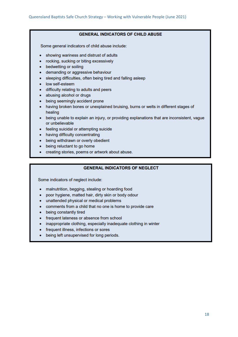#### **GENERAL INDICATORS OF CHILD ABUSE**

Some general indicators of child abuse include:

- showing wariness and distrust of adults
- rocking, sucking or biting excessively
- bedwetting or soiling
- demanding or aggressive behaviour
- sleeping difficulties, often being tired and falling asleep
- low self-esteem
- difficulty relating to adults and peers
- abusing alcohol or drugs
- being seemingly accident prone
- having broken bones or unexplained bruising, burns or welts in different stages of healing
- being unable to explain an injury, or providing explanations that are inconsistent, vague or unbelievable
- feeling suicidal or attempting suicide
- having difficulty concentrating
- being withdrawn or overly obedient
- being reluctant to go home
- creating stories, poems or artwork about abuse.

#### **GENERAL INDICATORS OF NEGLECT**

Some indicators of neglect include:

- malnutrition, begging, stealing or hoarding food
- poor hygiene, matted hair, dirty skin or body odour
- unattended physical or medical problems
- comments from a child that no one is home to provide care
- being constantly tired
- frequent lateness or absence from school
- inappropriate clothing, especially inadequate clothing in winter
- frequent illness, infections or sores
- <span id="page-17-0"></span>• being left unsupervised for long periods.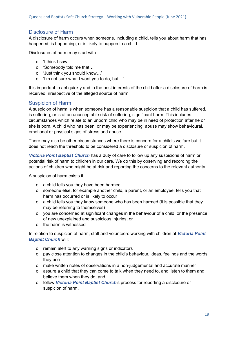#### Disclosure of Harm

A disclosure of harm occurs when someone, including a child, tells you about harm that has happened, is happening, or is likely to happen to a child.

Disclosures of harm may start with:

- o 'I think I saw…'
- o 'Somebody told me that…'
- o 'Just think you should know…'
- o 'I'm not sure what I want you to do, but…'

It is important to act quickly and in the best interests of the child after a disclosure of harm is received, irrespective of the alleged source of harm.

#### <span id="page-18-0"></span>Suspicion of Harm

A suspicion of harm is when someone has a reasonable suspicion that a child has suffered, is suffering, or is at an unacceptable risk of suffering, significant harm. This includes circumstances which relate to an unborn child who may be in need of protection after he or she is born. A child who has been, or may be experiencing, abuse may show behavioural, emotional or physical signs of stress and abuse.

There may also be other circumstances where there is concern for a child's welfare but it does not reach the threshold to be considered a disclosure or suspicion of harm.

*Victoria Point Baptist Church* has a duty of care to follow up any suspicions of harm or potential risk of harm to children in our care. We do this by observing and recording the actions of children who might be at risk and reporting the concerns to the relevant authority.

A suspicion of harm exists if:

- o a child tells you they have been harmed
- o someone else, for example another child, a parent, or an employee, tells you that harm has occurred or is likely to occur
- o a child tells you they know someone who has been harmed (it is possible that they may be referring to themselves)
- o you are concerned at significant changes in the behaviour of a child, or the presence of new unexplained and suspicious injuries, or
- o the harm is witnessed

In relation to suspicion of harm, staff and volunteers working with children at *Victoria Point Baptist Church* will:

- o remain alert to any warning signs or indicators
- o pay close attention to changes in the child's behaviour, ideas, feelings and the words they use
- o make written notes of observations in a non-judgemental and accurate manner
- o assure a child that they can come to talk when they need to, and listen to them and believe them when they do, and
- o follow *Victoria Point Baptist Church*'s process for reporting a disclosure or suspicion of harm.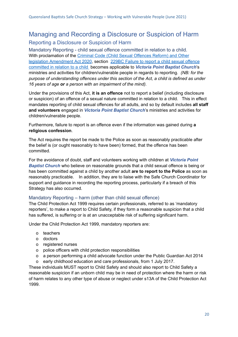### <span id="page-19-1"></span><span id="page-19-0"></span>Managing and Recording a Disclosure or Suspicion of Harm Reporting a Disclosure or Suspicion of Harm

<span id="page-19-2"></span>Mandatory Reporting - child sexual offence committed in relation to a child. With proclamation of the Criminal Code (Child Sexual [Offences](https://www.legislation.qld.gov.au/view/html/asmade/act-2020-032) Reform) and Other legislation [Amendment](https://www.legislation.qld.gov.au/view/html/asmade/act-2020-032) Act 2020, section 229BC Failure to report a child sexual [offence](https://www.legislation.qld.gov.au/view/html/asmade/act-2020-032#sec.25) [committed](https://www.legislation.qld.gov.au/view/html/asmade/act-2020-032#sec.25) in relation to a child becomes applicable to *Victoria Point Baptist Church*'s ministries and activities for children/vulnerable people in regards to reporting. *(NB: for the purpose of understanding offences under this section of the Act, a child is defined as under 16 years of age or a person with an impairment of the mind).*

Under the provisions of this Act, **it is an offence** not to report a belief (including disclosure or suspicion) of an offence of a sexual nature committed in relation to a child. This in effect mandates reporting of child sexual offences for all adults, and so by default includes **all staff and volunteers** engaged in *Victoria Point Baptist Church*'s ministries and activities for children/vulnerable people.

Furthermore, failure to report is an offence even if the information was gained during **a religious confession**.

The Act requires the report be made to the Police as soon as reasonably practicable after the belief is (or ought reasonably to have been) formed, that the offence has been committed.

For the avoidance of doubt, staff and volunteers working with children at *Victoria Point Baptist Church* who believe on reasonable grounds that a child sexual offence is being or has been committed against a child by another adult **are to report to the Police** as soon as reasonably practicable. In addition, they are to liaise with the Safe Church Coordinator for support and guidance in recording the reporting process, particularly if a breach of this Strategy has also occurred.

#### <span id="page-19-3"></span>Mandatory Reporting – harm (other than child sexual offence)

The Child Protection Act 1999 requires certain professionals, referred to as 'mandatory reporters', to make a report to Child Safety, if they form a reasonable suspicion that a child has suffered, is suffering or is at an unacceptable risk of suffering significant harm.

Under the Child Protection Act 1999, mandatory reporters are:

- o teachers
- o doctors
- o registered nurses
- o police officers with child protection responsibilities
- o a person performing a child advocate function under the Public Guardian Act 2014
- o early childhood education and care professionals, from 1 July 2017.

These individuals MUST report to Child Safety and should also report to Child Safety a reasonable suspicion if an unborn child may be in need of protection where the harm or risk of harm relates to any other type of abuse or neglect under s13A of the Child Protection Act 1999.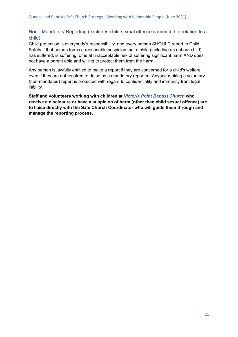#### <span id="page-20-0"></span>Non - Mandatory Reporting (excludes child sexual offence committed in relation to a child).

Child protection is everybody's responsibility, and every person SHOULD report to Child Safety if that person forms a reasonable suspicion that a child (including an unborn child) has suffered, is suffering, or is at unacceptable risk of suffering significant harm AND does not have a parent able and willing to protect them from the harm.

Any person is lawfully entitled to make a report if they are concerned for a child's welfare, even if they are not required to do so as a mandatory reporter. Anyone making a voluntary (non-mandated) report is protected with regard to confidentiality and immunity from legal liability.

<span id="page-20-1"></span>**Staff and volunteers working with children at** *Victoria Point Baptist Church* **who receive a disclosure or have a suspicion of harm (other than child sexual offence) are to liaise directly with the Safe Church Coordinator who will guide them through and manage the reporting process.**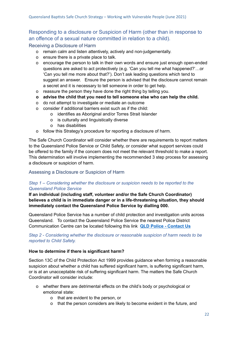#### Responding to a disclosure or Suspicion of Harm (other than in response to an offence of a sexual nature committed in relation to a child).

<span id="page-21-0"></span>Receiving a Disclosure of Harm

- o remain calm and listen attentively, actively and non-judgementally.
- o ensure there is a private place to talk.
- o encourage the person to talk in their own words and ensure just enough open-ended questions are asked to act protectively (e.g. 'Can you tell me what happened?'…or 'Can you tell me more about that?'). Don't ask leading questions which tend to suggest an answer. Ensure the person is advised that the disclosure cannot remain a secret and it is necessary to tell someone in order to get help.
- o reassure the person they have done the right thing by telling you.
- **o advise the child that you need to tell someone else who can help the child.**
- o do not attempt to investigate or mediate an outcome
- o consider if additional barriers exist such as if the child:
	- o identifies as Aboriginal and/or Torres Strait Islander
	- o is culturally and linguistically diverse
	- o has disabilities
- o follow this Strategy's procedure for reporting a disclosure of harm.

The Safe Church Coordinator will consider whether there are requirements to report matters to the Queensland Police Service or Child Safety, or consider what support services could be offered to the family if the concern does not meet the relevant threshold to make a report. This determination will involve implementing the recommended 3 step process for assessing a disclosure or suspicion of harm.

#### <span id="page-21-1"></span>Assessing a Disclosure or Suspicion of Harm

#### *Step 1 – Considering whether the disclosure or suspicion needs to be reported to the Queensland Police Service*

**If an individual (including staff, volunteer and/or the Safe Church Coordinator) believes a child is in immediate danger or in a life-threatening situation, they should immediately contact the Queensland Police Service by dialling 000.**

Queensland Police Service has a number of child protection and investigation units across Queensland. To contact the Queensland Police Service the nearest Police District Communication Centre can be located following this link **QLD Police - [Contact](https://www.police.qld.gov.au/how-can-we-help-you/contact-us#districtComms) Us**

#### *Step 2 - Considering whether the disclosure or reasonable suspicion of harm needs to be reported to Child Safety.*

#### **How to determine if there is significant harm?**

Section 13C of the Child Protection Act 1999 provides guidance when forming a reasonable suspicion about whether a child has suffered significant harm, is suffering significant harm, or is at an unacceptable risk of suffering significant harm. The matters the Safe Church Coordinator will consider include:

- o whether there are detrimental effects on the child's body or psychological or emotional state:
	- o that are evident to the person, or
	- o that the person considers are likely to become evident in the future, and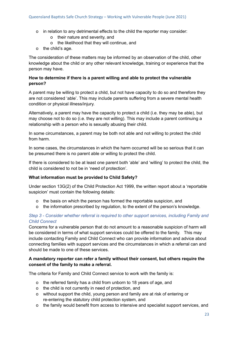- o in relation to any detrimental effects to the child the reporter may consider:
	- o their nature and severity, and
	- o the likelihood that they will continue, and
- o the child's age.

The consideration of these matters may be informed by an observation of the child, other knowledge about the child or any other relevant knowledge, training or experience that the person may have.

#### **How to determine if there is a parent willing and able to protect the vulnerable person?**

A parent may be willing to protect a child, but not have capacity to do so and therefore they are not considered 'able'. This may include parents suffering from a severe mental health condition or physical illness/injury.

Alternatively, a parent may have the capacity to protect a child (i.e. they may be able), but may choose not to do so (i.e. they are not willing). This may include a parent continuing a relationship with a person who is sexually abusing their child.

In some circumstances, a parent may be both not able and not willing to protect the child from harm.

In some cases, the circumstances in which the harm occurred will be so serious that it can be presumed there is no parent able or willing to protect the child.

If there is considered to be at least one parent both 'able' and 'willing' to protect the child, the child is considered to not be in 'need of protection'.

#### **What information must be provided to Child Safety?**

Under section 13G(2) of the Child Protection Act 1999, the written report about a 'reportable suspicion' must contain the following details:

- o the basis on which the person has formed the reportable suspicion, and
- o the information prescribed by regulation, to the extent of the person's knowledge.

#### *Step 3 - Consider whether referral is required to other support services, including Family and Child Connect*

Concerns for a vulnerable person that do not amount to a reasonable suspicion of harm will be considered in terms of what support services could be offered to the family. This may include contacting Family and Child Connect who can provide information and advice about connecting families with support services and the circumstances in which a referral can and should be made to one of these services.

#### **A mandatory reporter can refer a family without their consent, but others require the consent of the family to make a referral.**

The criteria for Family and Child Connect service to work with the family is:

- o the referred family has a child from unborn to 18 years of age, and
- o the child is not currently in need of protection, and
- o without support the child, young person and family are at risk of entering or re-entering the statutory child protection system, and
- o the family would benefit from access to intensive and specialist support services, and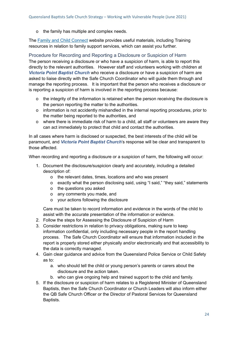o the family has multiple and complex needs.

The Family and Child [Connect](https://www.qld.gov.au/community/caring-child/family-child-connect) website provides useful materials, including Training resources in relation to family support services, which can assist you further.

<span id="page-23-0"></span>Procedure for Recording and Reporting a Disclosure or Suspicion of Harm The person receiving a disclosure or who have a suspicion of harm, is able to report this directly to the relevant authorities. However staff and volunteers working with children at *Victoria Point Baptist Church* who receive a disclosure or have a suspicion of harm are asked to liaise directly with the Safe Church Coordinator who will guide them through and manage the reporting process. It is important that the person who receives a disclosure or is reporting a suspicion of harm is involved in the reporting process because:

- o the integrity of the information is retained when the person receiving the disclosure is the person reporting the matter to the authorities.
- o information is not accidently mishandled in the internal reporting procedures, prior to the matter being reported to the authorities, and
- o where there is immediate risk of harm to a child, all staff or volunteers are aware they can act immediately to protect that child and contact the authorities.

In all cases where harm is disclosed or suspected, the best interests of the child will be paramount, and *Victoria Point Baptist Church*'s response will be clear and transparent to those affected.

When recording and reporting a disclosure or a suspicion of harm, the following will occur:

- 1. Document the disclosure/suspicion clearly and accurately, including a detailed description of:
	- o the relevant dates, times, locations and who was present
	- o exactly what the person disclosing said, using "I said," "they said," statements
	- o the questions you asked
	- o any comments you made, and
	- o your actions following the disclosure

Care must be taken to record information and evidence in the words of the child to assist with the accurate presentation of the information or evidence.

- 2. Follow the steps for Assessing the Disclosure of Suspicion of Harm
- 3. Consider restrictions in relation to privacy obligations, making sure to keep information confidential, only including necessary people in the report handling process. The Safe Church Coordinator will ensure that information included in the report is properly stored either physically and/or electronically and that accessibility to the data is correctly managed.
- 4. Gain clear guidance and advice from the Queensland Police Service or Child Safety as to:
	- a. who should tell the child or young person's parents or carers about the disclosure and the action taken.
	- b. who can give ongoing help and trained support to the child and family.
- 5. If the disclosure or suspicion of harm relates to a Registered Minister of Queensland Baptists, then the Safe Church Coordinator or Church Leaders will also inform either the QB Safe Church Officer or the Director of Pastoral Services for Queensland Baptists.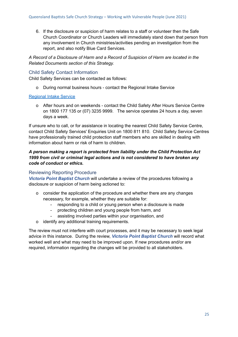6. If the disclosure or suspicion of harm relates to a staff or volunteer then the Safe Church Coordinator or Church Leaders will immediately stand down that person from any involvement in Church ministries/activities pending an investigation from the report, and also notify Blue Card Services.

*A Record of a Disclosure of Harm and a Record of Suspicion of Harm are located in the Related Documents section of this Strategy.*

#### <span id="page-24-0"></span>Child Safety Contact Information

Child Safety Services can be contacted as follows:

o During normal business hours - contact the Regional Intake Service

#### [Regional](http://www.communities.qld.gov.au/childsafety/about-us/contact-us/child-safetyservice-centres/regional-intake-services) Intake Service

o After hours and on weekends - contact the Child Safety After Hours Service Centre on 1800 177 135 or (07) 3235 9999. The service operates 24 hours a day, seven days a week.

If unsure who to call, or for assistance in locating the nearest Child Safety Service Centre, contact Child Safety Services' Enquiries Unit on 1800 811 810. Child Safety Service Centres have professionally trained child protection staff members who are skilled in dealing with information about harm or risk of harm to children.

#### *A person making a report is protected from liability under the Child Protection Act 1999 from civil or criminal legal actions and is not considered to have broken any code of conduct or ethics.*

#### <span id="page-24-1"></span>Reviewing Reporting Procedure

*Victoria Point Baptist Church* will undertake a review of the procedures following a disclosure or suspicion of harm being actioned to:

- o consider the application of the procedure and whether there are any changes necessary, for example, whether they are suitable for:
	- responding to a child or young person when a disclosure is made
	- protecting children and young people from harm, and
	- assisting involved parties within your organisation, and
- o identify any additional training requirements.

<span id="page-24-2"></span>The review must not interfere with court processes, and it may be necessary to seek legal advice in this instance. During the review, *Victoria Point Baptist Church* will record what worked well and what may need to be improved upon. If new procedures and/or are required, information regarding the changes will be provided to all stakeholders.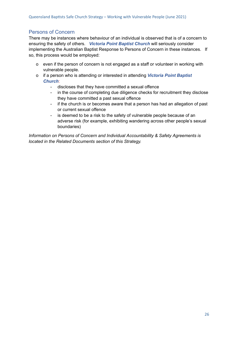#### Persons of Concern

There may be instances where behaviour of an individual is observed that is of a concern to ensuring the safety of others. *Victoria Point Baptist Church* will seriously consider implementing the Australian Baptist Response to Persons of Concern in these instances. If so, this process would be employed:

- o even if the person of concern is not engaged as a staff or volunteer in working with vulnerable people.
- o if a person who is attending or interested in attending *Victoria Point Baptist Church*:
	- discloses that they have committed a sexual offence
	- in the course of completing due diligence checks for recruitment they disclose they have committed a past sexual offence
	- if the church is or becomes aware that a person has had an allegation of past or current sexual offence
	- is deemed to be a risk to the safety of vulnerable people because of an adverse risk (for example, exhibiting wandering across other people's sexual boundaries)

*Information on Persons of Concern and Individual Accountability & Safety Agreements is located in the Related Documents section of this Strategy.*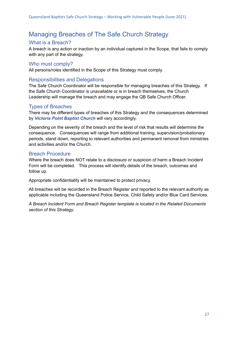### <span id="page-26-0"></span>Managing Breaches of The Safe Church Strategy

#### <span id="page-26-1"></span>What is a Breach?

A breach is any action or inaction by an individual captured in the Scope, that fails to comply with any part of the strategy.

#### <span id="page-26-2"></span>Who must comply?

All persons/roles identified in the Scope of this Strategy must comply.

#### <span id="page-26-3"></span>Responsibilities and Delegations

The Safe Church Coordinator will be responsible for managing breaches of this Strategy. If the Safe Church Coordinator is unavailable or is in breach themselves, the Church Leadership will manage the breach and may engage the QB Safe Church Officer.

#### <span id="page-26-4"></span>Types of Breaches

There may be different types of breaches of this Strategy and the consequences determined by *Victoria Point Baptist Church* will vary accordingly.

Depending on the severity of the breach and the level of risk that results will determine the consequence. Consequences will range from additional training, supervision/probationary periods, stand down, reporting to relevant authorities and permanent removal from ministries and activities and/or the Church.

#### <span id="page-26-5"></span>Breach Procedure

Where the breach does NOT relate to a disclosure or suspicion of harm a Breach Incident Form will be completed. This process will identify details of the breach, outcomes and follow up.

Appropriate confidentiality will be maintained to protect privacy.

All breaches will be recorded in the Breach Register and reported to the relevant authority as applicable including the Queensland Police Service, Child Safety and/or Blue Card Services.

*A Breach Incident Form and Breach Register template is located in the Related Documents section of this Strategy.*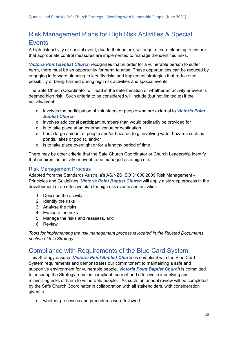### <span id="page-27-0"></span>Risk Management Plans for High Risk Activities & Special **Events**

A high risk activity or special event, due to their nature, will require extra planning to ensure that appropriate control measures are implemented to manage the identified risks.

*Victoria Point Baptist Church* recognises that in order for a vulnerable person to suffer harm, there must be an opportunity for harm to arise. These opportunities can be reduced by engaging in forward planning to identify risks and implement strategies that reduce the possibility of being harmed during high risk activities and special events.

The Safe Church Coordinator will lead in the determination of whether an activity or event is deemed high risk. Such criteria to be considered will include (but not limited to) if the activity/event:

- o involves the participation of volunteers or people who are external to *Victoria Point Baptist Church*
- o involves additional participant numbers than would ordinarily be provided for
- o is to take place at an external venue or destination
- o has a large amount of people and/or hazards (e.g. involving water hazards such as ponds, lakes or pools), and/or
- o is to take place overnight or for a lengthy period of time.

There may be other criteria that the Safe Church Coordinator or Church Leadership identify that requires the activity or event to be managed as a high risk.

#### <span id="page-27-1"></span>Risk Management Process

Adapted from the Standards Australia's AS/NZS ISO 31000:2009 Risk Management - Principles and Guidelines, *Victoria Point Baptist Church* will apply a six step process in the development of an effective plan for high risk events and activities:

- 1. Describe the activity
- 2. Identify the risks
- 3. Analyse the risks
- 4. Evaluate the risks
- 5. Manage the risks and reassess, and
- 6. Review

*Tools for implementing the risk management process is located in the Related Documents section of this Strategy.*

### <span id="page-27-2"></span>Compliance with Requirements of the Blue Card System

This Strategy ensures *Victoria Point Baptist Church* is compliant with the Blue Card System requirements and demonstrates our committment to maintaining a safe and supportive environment for vulnerable people. *Victoria Point Baptist Church* is committed to ensuring the Strategy remains compliant, current and effective in identifying and minimising risks of harm to vulnerable people. As such, an annual review will be completed by the Safe Church Coordinator in collaboration with all stakeholders, with consideration given to:

o whether processes and procedures were followed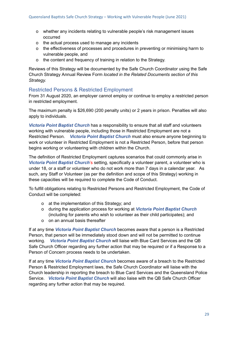- o whether any incidents relating to vulnerable people's risk management issues occurred
- o the actual process used to manage any incidents
- o the effectiveness of processes and procedures in preventing or minimising harm to vulnerable people, and
- o the content and frequency of training in relation to the Strategy.

Reviews of this Strategy will be documented by the Safe Church Coordinator using the Safe Church Strategy Annual Review Form *located in the Related Documents section of this Strategy.*

#### <span id="page-28-0"></span>Restricted Persons & Restricted Employment

From 31 August 2020, an employer cannot employ or continue to employ a restricted person in restricted employment.

The maximum penalty is \$26,690 (200 penalty units) or 2 years in prison. Penalties will also apply to individuals.

*Victoria Point Baptist Church* has a responsibility to ensure that all staff and volunteers working with vulnerable people, including those in Restricted Employment are not a Restricted Person. *Victoria Point Baptist Church* must also ensure anyone beginning to work or volunteer in Restricted Employment is not a Restricted Person, before that person begins working or volunteering with children within the Church.

The definition of Restricted Employment captures scenarios that could commonly arise in *Victoria Point Baptist Church*'s setting, specifically a volunteer parent, a volunteer who is under 18, or a staff or volunteer who do not work more than 7 days in a calendar year. As such, any Staff or Volunteer (as per the definition and scope of this Strategy) working in these capacities will be required to complete the Code of Conduct.

To fulfill obligations relating to Restricted Persons and Restricted Employment, the Code of Conduct will be completed:

- o at the implementation of this Strategy; and
- o during the application process for working at *Victoria Point Baptist Church* (including for parents who wish to volunteer as their child participates); and
- o on an annual basis thereafter

If at any time *Victoria Point Baptist Church* becomes aware that a person is a Restricted Person, that person will be immediately stood down and will not be permitted to continue working. *Victoria Point Baptist Church* will liaise with Blue Card Services and the QB Safe Church Officer regarding any further action that may be required or if a Response to a Person of Concern process needs to be undertaken.

If at any time *Victoria Point Baptist Church* becomes aware of a breach to the Restricted Person & Restricted Employment laws, the Safe Church Coordinator will liaise with the Church leadership in reporting the breach to Blue Card Services and the Queensland Police Service. *Victoria Point Baptist Church* will also liaise with the QB Safe Church Officer regarding any further action that may be required.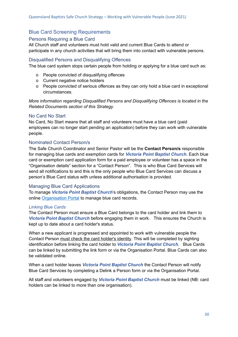#### <span id="page-29-0"></span>Blue Card Screening Requirements

#### <span id="page-29-1"></span>Persons Requiring a Blue Card

All Church staff and volunteers must hold valid and current Blue Cards to attend or participate in any church activities that will bring them into contact with vulnerable persons.

#### <span id="page-29-2"></span>Disqualified Persons and Disqualifying Offences

The blue card system stops certain people from holding or applying for a blue card such as:

- o People convicted of disqualifying offences
- o Current negative notice holders
- o People convicted of serious offences as they can only hold a blue card in exceptional circumstances.

*More information regarding Disqualified Persons and Disqualifying Offences is located in the Related Documents section of this Strategy.*

#### <span id="page-29-3"></span>No Card No Start

No Card, No Start means that all staff and volunteers must have a blue card (paid employees can no longer start pending an application) before they can work with vulnerable people.

#### <span id="page-29-4"></span>Nominated Contact Person/s

The Safe Church Coordinator and Senior Pastor will be the **Contact Person/s** responsible for managing blue cards and exemption cards for *Victoria Point Baptist Church*. Each blue card or exemption card application form for a paid employee or volunteer has a space in the "Organisation details" section for a "Contact Person". This is who Blue Card Services will send all notifications to and this is the only people who Blue Card Services can discuss a person's Blue Card status with unless additional authorisation is provided.

#### <span id="page-29-5"></span>Managing Blue Card Applications

To manage *Victoria Point Baptist Church*'s obligations, the Contact Person may use the online [Organisation](https://www.qld.gov.au/law/laws-regulated-industries-and-accountability/queensland-laws-and-regulations/regulated-industries-and-licensing/blue-card/organisations/portal) Portal to manage blue card records.

#### *Linking Blue Cards*

The Contact Person must ensure a Blue Card belongs to the card holder and link them to *Victoria Point Baptist Church* before engaging them in work. This ensures the Church is kept up to date about a card holder's status.

When a new applicant is progressed and appointed to work with vulnerable people the Contact Person must check the card holder's identity. This will be completed by sighting identification before linking the card holder to *Victoria Point Baptist Church*. Blue Cards can be linked by submitting the link form or via the Organisation Portal. Blue Cards can also be validated online.

When a card holder leaves *Victoria Point Baptist Church* the Contact Person will notify Blue Card Services by completing a Delink a Person form or via the Organisation Portal.

All staff and volunteers engaged by *Victoria Point Baptist Church* must be linked (NB: card holders can be linked to more than one organisation).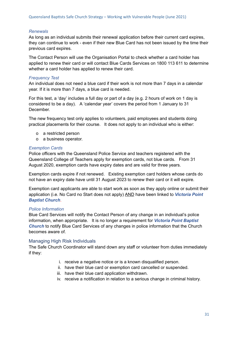#### *Renewals*

As long as an individual submits their renewal application before their current card expires, they can continue to work - even if their new Blue Card has not been issued by the time their previous card expires.

The Contact Person will use the Organisation Portal to check whether a card holder has applied to renew their card or will contact Blue Cards Services on 1800 113 611 to determine whether a card holder has applied to renew their card.

#### *Frequency Test*

An individual does not need a blue card if their work is not more than 7 days in a calendar year. If it is more than 7 days, a blue card is needed.

For this test, a 'day' includes a full day or part of a day (e.g. 2 hours of work on 1 day is considered to be a day). A 'calendar year' covers the period from 1 January to 31 December.

The new frequency test only applies to volunteers, paid employees and students doing practical placements for their course. It does not apply to an individual who is either:

- o a restricted person
- o a business operator.

#### *Exemption Cards*

Police officers with the Queensland Police Service and teachers registered with the Queensland College of Teachers apply for exemption cards, not blue cards. From 31 August 2020, exemption cards have expiry dates and are valid for three years.

Exemption cards expire if not renewed. Existing exemption card holders whose cards do not have an expiry date have until 31 August 2023 to renew their card or it will expire.

Exemption card applicants are able to start work as soon as they apply online or submit their application (i.e. No Card no Start does not apply) AND have been linked to *Victoria Point Baptist Church*.

#### *Police Information*

Blue Card Services will notify the Contact Person of any change in an individual's police information, when appropriate. It is no longer a requirement for *Victoria Point Baptist Church* to notify Blue Card Services of any changes in police information that the Church becomes aware of.

#### <span id="page-30-0"></span>Managing High Risk Individuals

The Safe Church Coordinator will stand down any staff or volunteer from duties immediately if they:

- i. receive a negative notice or is a known disqualified person.
- ii. have their blue card or exemption card cancelled or suspended.
- iii. have their blue card application withdrawn.
- iv. receive a notification in relation to a serious change in criminal history.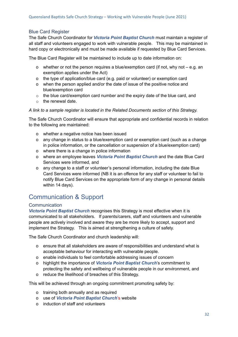#### <span id="page-31-0"></span>Blue Card Register

The Safe Church Coordinator for *Victoria Point Baptist Church* must maintain a register of all staff and volunteers engaged to work with vulnerable people. This may be maintained in hard copy or electronically and must be made available if requested by Blue Card Services.

The Blue Card Register will be maintained to include up to date information on:

- o whether or not the person requires a blue/exemption card (if not, why not e.g. an exemption applies under the Act)
- o the type of application/blue card (e.g. paid or volunteer) or exemption card
- o when the person applied and/or the date of issue of the positive notice and blue/exemption card
- o the blue card/exemption card number and the expiry date of the blue card, and
- $\circ$  the renewal date.

#### *A link to a sample register is located in the Related Documents section of this Strategy.*

The Safe Church Coordinator will ensure that appropriate and confidential records in relation to the following are maintained:

- o whether a negative notice has been issued
- o any change in status to a blue/exemption card or exemption card (such as a change in police information, or the cancellation or suspension of a blue/exemption card)
- o where there is a change in police information
- o where an employee leaves *Victoria Point Baptist Church* and the date Blue Card Services were informed, and
- o any change to a staff or volunteer's personal information, including the date Blue Card Services were informed (NB it is an offence for any staff or volunteer to fail to notify Blue Card Services on the appropriate form of any change in personal details within 14 days).

### <span id="page-31-1"></span>Communication & Support

#### <span id="page-31-2"></span>**Communication**

*Victoria Point Baptist Church* recognises this Strategy is most effective when it is communicated to all stakeholders. If parents/carers, staff and volunteers and vulnerable people are actively involved and aware they are be more likely to accept, support and implement the Strategy. This is aimed at strengthening a culture of safety.

The Safe Church Coordinator and church leadership will:

- o ensure that all stakeholders are aware of responsibilities and understand what is acceptable behaviour for interacting with vulnerable people.
- o enable individuals to feel comfortable addressing issues of concern
- o highlight the importance of *Victoria Point Baptist Church*'s commitment to protecting the safety and wellbeing of vulnerable people in our environment, and
- o reduce the likelihood of breaches of this Strategy.

This will be achieved through an ongoing commitment promoting safety by:

- o training both annually and as required
- o use of *Victoria Point Baptist Church*'s website
- o induction of staff and volunteers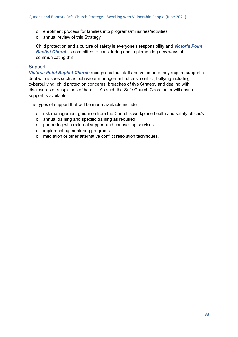- o enrolment process for families into programs/ministries/activities
- o annual review of this Strategy.

Child protection and a culture of safety is everyone's responsibility and *Victoria Point Baptist Church* is committed to considering and implementing new ways of communicating this.

#### <span id="page-32-0"></span>**Support**

*Victoria Point Baptist Church* recognises that staff and volunteers may require support to deal with issues such as behaviour management, stress, conflict, bullying including cyberbullying, child protection concerns, breaches of this Strategy and dealing with disclosures or suspicions of harm. As such the Safe Church Coordinator will ensure support is available.

The types of support that will be made available include:

- o risk management guidance from the Church's workplace health and safety officer/s.
- o annual training and specific training as required.
- o partnering with external support and counselling services.
- o implementing mentoring programs.
- o mediation or other alternative conflict resolution techniques.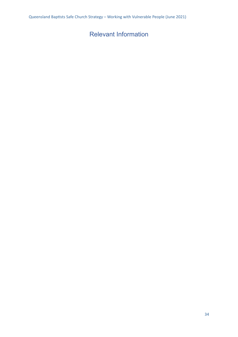### <span id="page-33-0"></span>Relevant Information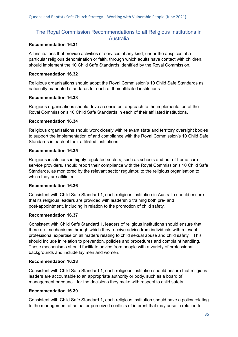#### <span id="page-34-0"></span>The Royal Commission Recommendations to all Religious Institutions in **Australia**

#### **Recommendation 16.31**

All institutions that provide activities or services of any kind, under the auspices of a particular religious denomination or faith, through which adults have contact with children, should implement the 10 Child Safe Standards identified by the Royal Commission.

#### **Recommendation 16.32**

Religious organisations should adopt the Royal Commission's 10 Child Safe Standards as nationally mandated standards for each of their affiliated institutions.

#### **Recommendation 16.33**

Religious organisations should drive a consistent approach to the implementation of the Royal Commission's 10 Child Safe Standards in each of their affiliated institutions.

#### **Recommendation 16.34**

Religious organisations should work closely with relevant state and territory oversight bodies to support the implementation of and compliance with the Royal Commission's 10 Child Safe Standards in each of their affiliated institutions.

#### **Recommendation 16.35**

Religious institutions in highly regulated sectors, such as schools and out-of-home care service providers, should report their compliance with the Royal Commission's 10 Child Safe Standards, as monitored by the relevant sector regulator, to the religious organisation to which they are affiliated.

#### **Recommendation 16.36**

Consistent with Child Safe Standard 1, each religious institution in Australia should ensure that its religious leaders are provided with leadership training both pre- and post-appointment, including in relation to the promotion of child safety.

#### **Recommendation 16.37**

Consistent with Child Safe Standard 1, leaders of religious institutions should ensure that there are mechanisms through which they receive advice from individuals with relevant professional expertise on all matters relating to child sexual abuse and child safety. This should include in relation to prevention, policies and procedures and complaint handling. These mechanisms should facilitate advice from people with a variety of professional backgrounds and include lay men and women.

#### **Recommendation 16.38**

Consistent with Child Safe Standard 1, each religious institution should ensure that religious leaders are accountable to an appropriate authority or body, such as a board of management or council, for the decisions they make with respect to child safety.

#### **Recommendation 16.39**

Consistent with Child Safe Standard 1, each religious institution should have a policy relating to the management of actual or perceived conflicts of interest that may arise in relation to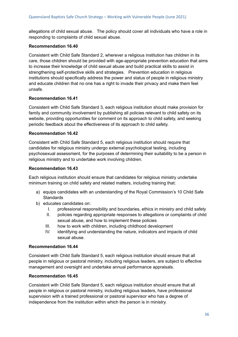allegations of child sexual abuse. The policy should cover all individuals who have a role in responding to complaints of child sexual abuse.

#### **Recommendation 16.40**

Consistent with Child Safe Standard 2, wherever a religious institution has children in its care, those children should be provided with age-appropriate prevention education that aims to increase their knowledge of child sexual abuse and build practical skills to assist in strengthening self-protective skills and strategies. Prevention education in religious institutions should specifically address the power and status of people in religious ministry and educate children that no one has a right to invade their privacy and make them feel unsafe.

#### **Recommendation 16.41**

Consistent with Child Safe Standard 3, each religious institution should make provision for family and community involvement by publishing all policies relevant to child safety on its website, providing opportunities for comment on its approach to child safety, and seeking periodic feedback about the effectiveness of its approach to child safety.

#### **Recommendation 16.42**

Consistent with Child Safe Standard 5, each religious institution should require that candidates for religious ministry undergo external psychological testing, including psychosexual assessment, for the purposes of determining their suitability to be a person in religious ministry and to undertake work involving children.

#### **Recommendation 16.43**

Each religious institution should ensure that candidates for religious ministry undertake minimum training on child safety and related matters, including training that:

- a) equips candidates with an understanding of the Royal Commission's 10 Child Safe **Standards**
- b) educates candidates on:
	- I. professional responsibility and boundaries, ethics in ministry and child safety
	- II. policies regarding appropriate responses to allegations or complaints of child sexual abuse, and how to implement these policies
	- III. how to work with children, including childhood development
	- IV. identifying and understanding the nature, indicators and impacts of child sexual abuse.

#### **Recommendation 16.44**

Consistent with Child Safe Standard 5, each religious institution should ensure that all people in religious or pastoral ministry, including religious leaders, are subject to effective management and oversight and undertake annual performance appraisals.

#### **Recommendation 16.45**

Consistent with Child Safe Standard 5, each religious institution should ensure that all people in religious or pastoral ministry, including religious leaders, have professional supervision with a trained professional or pastoral supervisor who has a degree of independence from the institution within which the person is in ministry.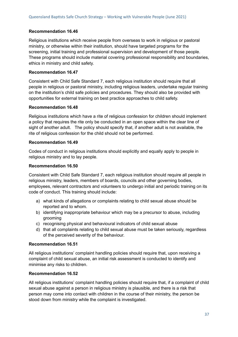#### **Recommendation 16.46**

Religious institutions which receive people from overseas to work in religious or pastoral ministry, or otherwise within their institution, should have targeted programs for the screening, initial training and professional supervision and development of those people. These programs should include material covering professional responsibility and boundaries, ethics in ministry and child safety.

#### **Recommendation 16.47**

Consistent with Child Safe Standard 7, each religious institution should require that all people in religious or pastoral ministry, including religious leaders, undertake regular training on the institution's child safe policies and procedures. They should also be provided with opportunities for external training on best practice approaches to child safety.

#### **Recommendation 16.48**

Religious institutions which have a rite of religious confession for children should implement a policy that requires the rite only be conducted in an open space within the clear line of sight of another adult. The policy should specify that, if another adult is not available, the rite of religious confession for the child should not be performed.

#### **Recommendation 16.49**

Codes of conduct in religious institutions should explicitly and equally apply to people in religious ministry and to lay people.

#### **Recommendation 16.50**

Consistent with Child Safe Standard 7, each religious institution should require all people in religious ministry, leaders, members of boards, councils and other governing bodies, employees, relevant contractors and volunteers to undergo initial and periodic training on its code of conduct. This training should include:

- a) what kinds of allegations or complaints relating to child sexual abuse should be reported and to whom.
- b) identifying inappropriate behaviour which may be a precursor to abuse, including grooming
- c) recognising physical and behavioural indicators of child sexual abuse
- d) that all complaints relating to child sexual abuse must be taken seriously, regardless of the perceived severity of the behaviour.

#### **Recommendation 16.51**

All religious institutions' complaint handling policies should require that, upon receiving a complaint of child sexual abuse, an initial risk assessment is conducted to identify and minimise any risks to children.

#### **Recommendation 16.52**

All religious institutions' complaint handling policies should require that, if a complaint of child sexual abuse against a person in religious ministry is plausible, and there is a risk that person may come into contact with children in the course of their ministry, the person be stood down from ministry while the complaint is investigated.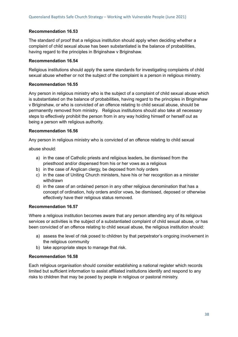#### **Recommendation 16.53**

The standard of proof that a religious institution should apply when deciding whether a complaint of child sexual abuse has been substantiated is the balance of probabilities, having regard to the principles in Briginshaw v Briginshaw.

#### **Recommendation 16.54**

Religious institutions should apply the same standards for investigating complaints of child sexual abuse whether or not the subject of the complaint is a person in religious ministry.

#### **Recommendation 16.55**

Any person in religious ministry who is the subject of a complaint of child sexual abuse which is substantiated on the balance of probabilities, having regard to the principles in Briginshaw v Briginshaw, or who is convicted of an offence relating to child sexual abuse, should be permanently removed from ministry. Religious institutions should also take all necessary steps to effectively prohibit the person from in any way holding himself or herself out as being a person with religious authority.

#### **Recommendation 16.56**

Any person in religious ministry who is convicted of an offence relating to child sexual

abuse should:

- a) in the case of Catholic priests and religious leaders, be dismissed from the priesthood and/or dispensed from his or her vows as a religious
- b) in the case of Anglican clergy, be deposed from holy orders
- c) in the case of Uniting Church ministers, have his or her recognition as a minister withdrawn
- d) in the case of an ordained person in any other religious denomination that has a concept of ordination, holy orders and/or vows, be dismissed, deposed or otherwise effectively have their religious status removed.

#### **Recommendation 16.57**

Where a religious institution becomes aware that any person attending any of its religious services or activities is the subject of a substantiated complaint of child sexual abuse, or has been convicted of an offence relating to child sexual abuse, the religious institution should:

- a) assess the level of risk posed to children by that perpetrator's ongoing involvement in the religious community
- b) take appropriate steps to manage that risk.

#### **Recommendation 16.58**

Each religious organisation should consider establishing a national register which records limited but sufficient information to assist affiliated institutions identify and respond to any risks to children that may be posed by people in religious or pastoral ministry.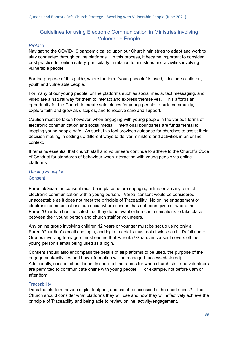#### <span id="page-38-0"></span>Guidelines for using Electronic Communication in Ministries involving Vulnerable People

#### *Preface*

Navigating the COVID-19 pandemic called upon our Church ministries to adapt and work to stay connected through online platforms. In this process, it became important to consider best practice for online safety, particularly in relation to ministries and activities involving vulnerable people.

For the purpose of this guide, where the term "young people" is used, it includes children, youth and vulnerable people.

For many of our young people, online platforms such as social media, text messaging, and video are a natural way for them to interact and express themselves. This affords an opportunity for the Church to create safe places for young people to build community, explore faith and grow as disciples, and to receive care and support.

Caution must be taken however, when engaging with young people in the various forms of electronic communication and social media. Intentional boundaries are fundamental to keeping young people safe. As such, this tool provides guidance for churches to assist their decision making in setting up different ways to deliver ministers and activities in an online context.

It remains essential that church staff and volunteers continue to adhere to the Church's Code of Conduct for standards of behaviour when interacting with young people via online platforms.

#### *Guiding Principles* **Consent**

Parental/Guardian consent must be in place before engaging online or via any form of electronic communication with a young person. Verbal consent would be considered unacceptable as it does not meet the principle of Traceability. No online engagement or electronic communications can occur where consent has not been given or where the Parent/Guardian has indicated that they do not want online communications to take place between their young person and church staff or volunteers.

Any online group involving children 12 years or younger must be set up using only a Parent/Guardian's email and login, and login-in details must not disclose a child's full name. Groups involving teenagers must ensure that Parental/ Guardian consent covers off the young person's email being used as a login.

Consent should also encompass the details of all platforms to be used, the purpose of the engagement/activities and how information will be managed (accessed/stored). Additionally, consent should identify specific timeframes for when church staff and volunteers are permitted to communicate online with young people. For example, not before 8am or after 8pm.

#### **Traceability**

Does the platform have a digital footprint, and can it be accessed if the need arises? The Church should consider what platforms they will use and how they will effectively achieve the principle of Traceability and being able to review online. activity/engagement.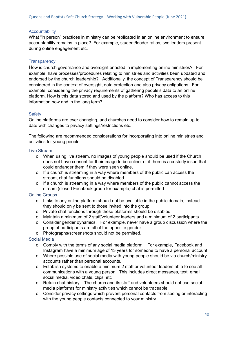#### **Accountability**

What "in person" practices in ministry can be replicated in an online environment to ensure accountability remains in place? For example, student/leader ratios, two leaders present during online engagement etc.

#### **Transparency**

How is church governance and oversight enacted in implementing online ministries? For example, have processes/procedures relating to ministries and activities been updated and endorsed by the church leadership? Additionally, the concept of Transparency should be considered in the context of oversight, data protection and also privacy obligations. For example, considering the privacy requirements of gathering people's data to an online platform. How is this data stored and used by the platform? Who has access to this information now and in the long term?

#### **Safety**

Online platforms are ever changing, and churches need to consider how to remain up to date with changes to privacy settings/restrictions etc.

The following are recommended considerations for incorporating into online ministries and activities for young people:

#### Live Stream

- o When using live stream, no images of young people should be used if the Church does not have consent for their image to be online, or if there is a custody issue that could endanger them if they were seen online.
- o If a church is streaming in a way where members of the public can access the stream, chat functions should be disabled.
- o If a church is streaming in a way where members of the public cannot access the stream (closed Facebook group for example) chat is permitted.

#### Online Groups

- o Links to any online platform should not be available in the public domain, instead they should only be sent to those invited into the group.
- o Private chat functions through these platforms should be disabled.
- o Maintain a minimum of 2 staff/volunteer leaders and a minimum of 2 participants
- o Consider gender dynamics. For example, never have a group discussion where the group of participants are all of the opposite gender.
- o Photographs/screenshots should not be permitted.

#### Social Media

- o Comply with the terms of any social media platform. For example, Facebook and Instagram have a minimum age of 13 years for someone to have a personal account.
- o Where possible use of social media with young people should be via church/ministry accounts rather than personal accounts.
- o Establish systems to enable a minimum 2 staff or volunteer leaders able to see all communications with a young person. This includes direct messages, text, email, social media, video chats, clips, etc
- o Retain chat history. The church and its staff and volunteers should not use social media platforms for ministry activities which cannot be traceable.
- o Consider privacy settings which prevent personal contacts from seeing or interacting with the young people contacts connected to your ministry.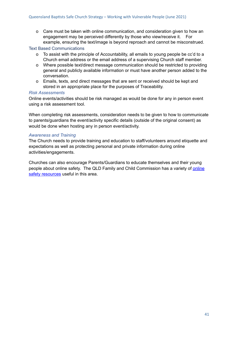o Care must be taken with online communication, and consideration given to how an engagement may be perceived differently by those who view/receive it. For example, ensuring the text/image is beyond reproach and cannot be misconstrued.

Text Based Communications

- o To assist with the principle of Accountability, all emails to young people be cc'd to a Church email address or the email address of a supervising Church staff member.
- o Where possible text/direct message communication should be restricted to providing general and publicly available information or must have another person added to the conversation.
- o Emails, texts, and direct messages that are sent or received should be kept and stored in an appropriate place for the purposes of Traceability.

#### *Risk Assessments*

Online events/activities should be risk managed as would be done for any in person event using a risk assessment tool.

When completing risk assessments, consideration needs to be given to how to communicate to parents/guardians the event/activity specific details (outside of the original consent) as would be done when hosting any in person event/activity.

#### *Awareness and Training*

The Church needs to provide training and education to staff/volunteers around etiquette and expectations as well as protecting personal and private information during online activities/engagements.

<span id="page-40-0"></span>Churches can also encourage Parents/Guardians to educate themselves and their young people about [online](https://www.qfcc.qld.gov.au/kids/protecting-kids-online/online-safety-resources) safety. The QLD Family and Child Commission has a variety of online safety [resources](https://www.qfcc.qld.gov.au/kids/protecting-kids-online/online-safety-resources) useful in this area.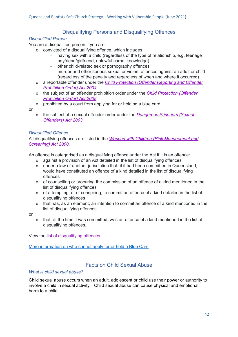#### Disqualifying Persons and Disqualifying Offences

#### *Disqualified Person*

You are a disqualified person if you are:

- o convicted of a disqualifying offence, which includes
	- having sex with a child (regardless of the type of relationship, e.g. teenage boyfriend/girlfriend, unlawful carnal knowledge)
	- other child-related sex or pornography offences
	- murder and other serious sexual or violent offences against an adult or child (regardless of the penalty and regardless of when and where it occurred)
- o a reportable offender under the *Child [Protection](https://www.legislation.qld.gov.au/view/pdf/inforce/2017-07-01/act-2004-052) (Offender Reporting and Offender [Prohibition](https://www.legislation.qld.gov.au/view/pdf/inforce/2017-07-01/act-2004-052) Order) Act 2004*
- o the subject of an offender prohibition order under the *Child [Protection](https://www.legislation.qld.gov.au/view/pdf/repealed/2017-03-05/act-2008-017) (Offender [Prohibition](https://www.legislation.qld.gov.au/view/pdf/repealed/2017-03-05/act-2008-017) Order) Act 2008*
- o prohibited by a court from applying for or holding a blue card

or

o the subject of a sexual offender order under the *[Dangerous](https://www.legislation.qld.gov.au/view/pdf/inforce/2013-04-05/act-2003-040) Prisoners (Sexual [Offenders\)](https://www.legislation.qld.gov.au/view/pdf/inforce/2013-04-05/act-2003-040) Act 2003*.

#### *Disqualified Offence*

All disqualifying offences are listed in the *Working with Children (Risk [Management](https://www.legislation.qld.gov.au/view/html/inforce/current/act-2000-060) and [Screening\)](https://www.legislation.qld.gov.au/view/html/inforce/current/act-2000-060) Act 2000*.

An offence is categorised as a disqualifying offence under the Act if it is an offence:

- o against a provision of an Act detailed in the list of disqualifying offences
- o under a law of another jurisdiction that, if it had been committed in Queensland, would have constituted an offence of a kind detailed in the list of disqualifying offences
- o of counselling or procuring the commission of an offence of a kind mentioned in the list of disqualifying offences
- o of attempting, or of conspiring, to commit an offence of a kind detailed in the list of disqualifying offences
- o that has, as an element, an intention to commit an offence of a kind mentioned in the list of disqualifying offences

or

o that, at the time it was committed, was an offence of a kind mentioned in the list of disqualifying offences.

View the list of [disqualifying](https://www.qld.gov.au/law/laws-regulated-industries-and-accountability/queensland-laws-and-regulations/regulated-industries-and-licensing/blue-card/eligible/disqualifying-offences) offences.

More [information](https://www.qld.gov.au/law/laws-regulated-industries-and-accountability/queensland-laws-and-regulations/regulated-industries-and-licensing/blue-card/eligible) on who cannot apply for or hold a Blue Card

#### Facts on Child Sexual Abuse

#### <span id="page-41-0"></span>*What is child sexual abuse?*

Child sexual abuse occurs when an adult, adolescent or child use their power or authority to involve a child in sexual activity. Child sexual abuse can cause physical and emotional harm to a child.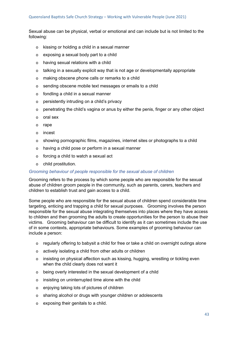Sexual abuse can be physical, verbal or emotional and can include but is not limited to the following:

- o kissing or holding a child in a sexual manner
- o exposing a sexual body part to a child
- o having sexual relations with a child
- o talking in a sexually explicit way that is not age or developmentally appropriate
- o making obscene phone calls or remarks to a child
- o sending obscene mobile text messages or emails to a child
- o fondling a child in a sexual manner
- o persistently intruding on a child's privacy
- o penetrating the child's vagina or anus by either the penis, finger or any other object
- o oral sex
- o rape
- o incest
- o showing pornographic films, magazines, internet sites or photographs to a child
- o having a child pose or perform in a sexual manner
- o forcing a child to watch a sexual act
- o child prostitution.

#### *Grooming behaviour of people responsible for the sexual abuse of children*

Grooming refers to the process by which some people who are responsible for the sexual abuse of children groom people in the community, such as parents, carers, teachers and children to establish trust and gain access to a child.

Some people who are responsible for the sexual abuse of children spend considerable time targeting, enticing and trapping a child for sexual purposes. Grooming involves the person responsible for the sexual abuse integrating themselves into places where they have access to children and then grooming the adults to create opportunities for the person to abuse their victims. Grooming behaviour can be difficult to identify as it can sometimes include the use of in some contexts, appropriate behaviours. Some examples of grooming behaviour can include a person:

- o regularly offering to babysit a child for free or take a child on overnight outings alone
- o actively isolating a child from other adults or children
- o insisting on physical affection such as kissing, hugging, wrestling or tickling even when the child clearly does not want it
- o being overly interested in the sexual development of a child
- o insisting on uninterrupted time alone with the child
- o enjoying taking lots of pictures of children
- o sharing alcohol or drugs with younger children or adolescents
- o exposing their genitals to a child.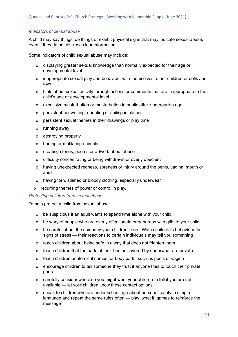#### *Indicators of sexual abuse*

A child may say things, do things or exhibit physical signs that may indicate sexual abuse, even if they do not disclose clear information.

Some indicators of child sexual abuse may include:

- o displaying greater sexual knowledge than normally expected for their age or developmental level
- o inappropriate sexual play and behaviour with themselves, other children or dolls and toys
- o hints about sexual activity through actions or comments that are inappropriate to the child's age or developmental level
- o excessive masturbation or masturbation in public after kindergarten age
- o persistent bedwetting, urinating or soiling in clothes
- o persistent sexual themes in their drawings or play time
- o running away
- o destroying property
- o hurting or mutilating animals
- o creating stories, poems or artwork about abuse
- o difficulty concentrating or being withdrawn or overly obedient
- o having unexpected redness, soreness or injury around the penis, vagina, mouth or anus
- o having torn, stained or bloody clothing, especially underwear
- o recurring themes of power or control in play.

#### *Protecting children from sexual abuse*

To help protect a child from sexual abuse:

- o be suspicious if an adult wants to spend time alone with your child
- o be wary of people who are overly affectionate or generous with gifts to your child
- o be careful about the company your children keep. Watch children's behaviour for signs of stress — their reactions to certain individuals may tell you something
- o teach children about being safe in a way that does not frighten them
- o teach children that the parts of their bodies covered by underwear are private
- o teach children anatomical names for body parts, such as penis or vagina
- o encourage children to tell someone they trust if anyone tries to touch their private parts
- o carefully consider who else you might want your children to tell if you are not available — let your children know these contact options
- o speak to children who are under school age about personal safety in simple language and repeat the same rules often — play 'what if' games to reinforce the message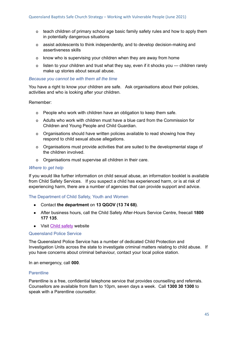- o teach children of primary school age basic family safety rules and how to apply them in potentially dangerous situations
- o assist adolescents to think independently, and to develop decision-making and assertiveness skills
- o know who is supervising your children when they are away from home
- o listen to your children and trust what they say, even if it shocks you children rarely make up stories about sexual abuse.

#### *Because you cannot be with them all the time*

You have a right to know your children are safe. Ask organisations about their policies, activities and who is looking after your children.

#### Remember:

- o People who work with children have an obligation to keep them safe.
- o Adults who work with children must have a blue card from the Commission for Children and Young People and Child Guardian.
- o Organisations should have written policies available to read showing how they respond to child sexual abuse allegations.
- o Organisations must provide activities that are suited to the developmental stage of the children involved.
- o Organisations must supervise all children in their care.

#### *Where to get help*

If you would like further information on child sexual abuse, an information booklet is available from Child Safety Services. If you suspect a child has experienced harm, or is at risk of experiencing harm, there are a number of agencies that can provide support and advice.

#### The Department of Child Safety, Youth and Women

- Contact **the department** on **13 QGOV (13 74 68)**.
- After business hours, call the Child Safety After-Hours Service Centre, freecall **1800 177 135**.
- Visit Child [safety](https://www.csyw.qld.gov.au/) website

#### Queensland Police Service

The Queensland Police Service has a number of dedicated Child Protection and Investigation Units across the state to investigate criminal matters relating to child abuse. If you have concerns about criminal behaviour, contact your local police station.

In an emergency, call **000**.

#### **Parentline**

Parentline is a free, confidential telephone service that provides counselling and referrals. Counsellors are available from 8am to 10pm, seven days a week. Call **1300 30 1300** to speak with a Parentline counsellor.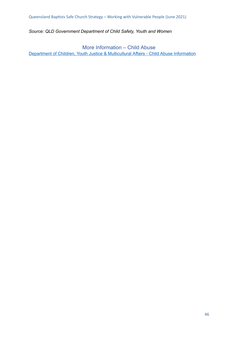*Source: QLD Government Department of Child Safety, Youth and Women*

<span id="page-45-0"></span>More Information – Child Abuse Department of Children, Youth Justice & [Multicultural](https://www.cyjma.qld.gov.au/protecting-children/what-child-abuse) Affairs - Child Abuse Information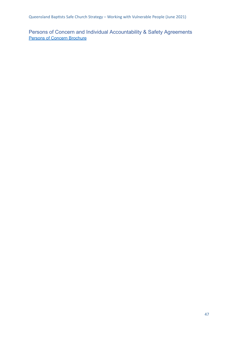Queensland Baptists Safe Church Strategy - Working with Vulnerable People (June 2021)

<span id="page-46-0"></span>Persons of Concern and Individual Accountability & Safety Agreements **Persons of Concern [Brochure](https://www.qb.org.au/wp-content/uploads/2020/09/POC-Brochure-2015_Updated-27.02.20.pdf)**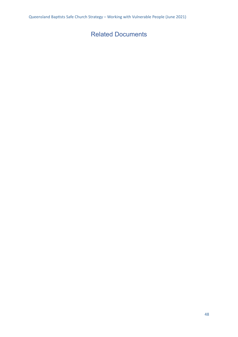### <span id="page-47-0"></span>Related Documents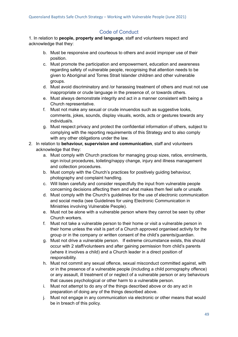#### Code of Conduct

<span id="page-48-0"></span>1. In relation to **people, property and language**, staff and volunteers respect and acknowledge that they:

- b. Must be responsive and courteous to others and avoid improper use of their position.
- c. Must promote the participation and empowerment, education and awareness regarding safety of vulnerable people, recognising that attention needs to be given to Aboriginal and Torres Strait Islander children and other vulnerable groups.
- d. Must avoid discriminatory and /or harassing treatment of others and must not use inappropriate or crude language in the presence of, or towards others.
- e. Must always demonstrate integrity and act in a manner consistent with being a Church representative.
- f. Must not make any sexual or crude innuendos such as suggestive looks, comments, jokes, sounds, display visuals, words, acts or gestures towards any individual/s.
- g. Must respect privacy and protect the confidential information of others, subject to complying with the reporting requirements of this Strategy and to also comply with any other obligations under the law.
- 2. In relation to **behaviour, supervision and communication**, staff and volunteers acknowledge that they:
	- a. Must comply with Church practices for managing group sizes, ratios, enrolments, sign in/out procedures, toileting/nappy change, injury and illness management and collection procedures.
	- b. Must comply with the Church's practices for positively guiding behaviour, photography and complaint handling.
	- c. Will listen carefully and consider respectfully the input from vulnerable people concerning decisions affecting them and what makes them feel safe or unsafe.
	- d. Must comply with the Church's guidelines for the use of electronic communication and social media (see Guidelines for using Electronic Communication in Ministries involving Vulnerable People).
	- e. Must not be alone with a vulnerable person where they cannot be seen by other Church workers.
	- f. Must not take a vulnerable person to their home or visit a vulnerable person in their home unless the visit is part of a Church approved organised activity for the group or in the company or written consent of the child's parents/guardian.
	- g. Must not drive a vulnerable person. If extreme circumstance exists, this should occur with 2 staff/volunteers and after gaining permission from child's parents (where it involves a child) and a Church leader in a direct position of responsibility.
	- h. Must not commit any sexual offence, sexual misconduct committed against, with or in the presence of a vulnerable people (including a child pornography offence) or any assault, ill treatment of or neglect of a vulnerable person or any behaviours that causes psychological or other harm to a vulnerable person.
	- i. Must not attempt to do any of the things described above or do any act in preparation of doing any of the things described above.
	- j. Must not engage in any communication via electronic or other means that would be in breach of this policy.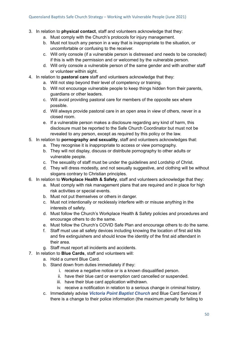- 3. In relation to **physical contact**, staff and volunteers acknowledge that they:
	- a. Must comply with the Church's protocols for injury management.
	- b. Must not touch any person in a way that is inappropriate to the situation, or uncomfortable or confusing to the receiver.
	- c. Will only console (if a vulnerable person is distressed and needs to be consoled) if this is with the permission and or welcomed by the vulnerable person.
	- d. Will only console a vulnerable person of the same gender and with another staff or volunteer within sight.
- 4. In relation to **pastoral care** staff and volunteers acknowledge that they:
	- a. Will not step beyond their level of competency or training.
	- b. Will not encourage vulnerable people to keep things hidden from their parents, guardians or other leaders.
	- c. Will avoid providing pastoral care for members of the opposite sex where possible.
	- d. Will always provide pastoral care in an open area in view of others, never in a closed room.
	- e. If a vulnerable person makes a disclosure regarding any kind of harm, this disclosure must be reported to the Safe Church Coordinator but must not be revealed to any person, except as required by this policy or the law.
- 5. In relation to **pornography and sexuality**, staff and volunteers acknowledges that:
	- a. They recognise it is inappropriate to access or view pornography.
	- b. They will not display, discuss or distribute pornography to other adults or vulnerable people.
	- c. The sexuality of staff must be under the guidelines and Lordship of Christ.
	- d. They will dress modestly, and not sexually suggestive, and clothing will be without slogans contrary to Christian principles.
- 6. In relation to **Workplace Health & Safety**, staff and volunteers acknowledge that they:
	- a. Must comply with risk management plans that are required and in place for high risk activities or special events.
	- b. Must not put themselves or others in danger.
	- c. Must not intentionally or recklessly interfere with or misuse anything in the interests of safety.
	- d. Must follow the Church's Workplace Health & Safety policies and procedures and encourage others to do the same.
	- e. Must follow the Church's COVID Safe Plan and encourage others to do the same.
	- f. Staff must use all safety devices including knowing the location of first aid kits and fire extinguishers and should know the identity of the first aid attendant in their area.
	- g. Staff must report all incidents and accidents.
- 7. In relation to **Blue Cards**, staff and volunteers will:
	- a. Hold a current Blue Card.
	- b. Stand down from duties immediately if they:
		- i. receive a negative notice or is a known disqualified person.
		- ii. have their blue card or exemption card cancelled or suspended.
		- iii. have their blue card application withdrawn.
		- iv. receive a notification in relation to a serious change in criminal history.
	- c. Immediately advise *Victoria Point Baptist Church* and Blue Card Services if there is a change to their police information (the maximum penalty for failing to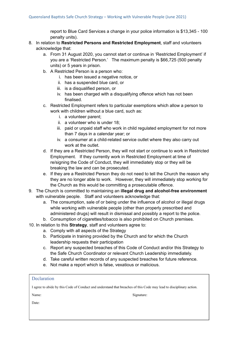report to Blue Card Services a change in your police information is \$13,345 - 100 penalty units).

- 8. In relation to **Restricted Persons and Restricted Employment**, staff and volunteers acknowledge that:
	- a. From 31 August 2020, you cannot start or continue in 'Restricted Employment' if you are a 'Restricted Person.' The maximum penalty is \$66,725 (500 penalty units) or 5 years in prison.
	- b. A Restricted Person is a person who:
		- i. has been issued a negative notice, or
		- ii. has a suspended blue card, or
		- iii. is a disqualified person, or
		- iv. has been charged with a disqualifying offence which has not been finalised.
	- c. Restricted Employment refers to particular exemptions which allow a person to work with children without a blue card, such as:
		- i. a volunteer parent;
		- ii. a volunteer who is under 18;
		- iii. paid or unpaid staff who work in child regulated employment for not more than 7 days in a calendar year; or
		- iv. a consumer at a child-related service outlet where they also carry out work at the outlet.
	- d. If they are a Restricted Person, they will not start or continue to work in Restricted Employment. If they currently work in Restricted Employment at time of re/signing the Code of Conduct, they will immediately stop or they will be breaking the law and can be prosecuted.
	- e. If they are a Restricted Person they do not need to tell the Church the reason why they are no longer able to work. However, they will immediately stop working for the Church as this would be committing a prosecutable offence.
- 9. The Church is committed to maintaining an **illegal drug and alcohol-free environment** with vulnerable people. Staff and volunteers acknowledge that:
	- a. The consumption, sale of or being under the influence of alcohol or illegal drugs while working with vulnerable people (other than properly prescribed and administered drugs) will result in dismissal and possibly a report to the police.
	- b. Consumption of cigarettes/tobacco is also prohibited on Church premises.
- 10. In relation to this **Strategy**, staff and volunteers agree to:
	- a. Comply with all aspects of the Strategy
	- b. Participate in training provided by the Church and for which the Church leadership requests their participation
	- c. Report any suspected breaches of this Code of Conduct and/or this Strategy to the Safe Church Coordinator or relevant Church Leadership immediately.
	- d. Take careful written records of any suspected breaches for future reference.
	- e. Not make a report which is false, vexatious or malicious.

| Declaration                                                                                                         |            |
|---------------------------------------------------------------------------------------------------------------------|------------|
| I agree to abide by this Code of Conduct and understand that breaches of this Code may lead to disciplinary action. |            |
| Name:                                                                                                               | Signature: |
| Date:                                                                                                               |            |
|                                                                                                                     |            |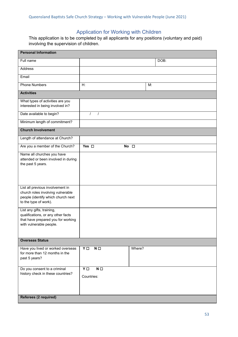### Application for Working with Children

This application is to be completed by all applicants for any positions (voluntary and paid) involving the supervision of children.

| <b>Personal Information</b>                                                                                                          |                                          |              |      |  |
|--------------------------------------------------------------------------------------------------------------------------------------|------------------------------------------|--------------|------|--|
| Full name                                                                                                                            |                                          |              | DOB: |  |
| Address                                                                                                                              |                                          |              |      |  |
| Email                                                                                                                                |                                          |              |      |  |
| <b>Phone Numbers</b>                                                                                                                 | H:                                       |              | M:   |  |
| <b>Activities</b>                                                                                                                    |                                          |              |      |  |
| What types of activities are you<br>interested in being involved in?                                                                 |                                          |              |      |  |
| Date available to begin?                                                                                                             | $\prime$<br>$\prime$                     |              |      |  |
| Minimum length of commitment?                                                                                                        |                                          |              |      |  |
| <b>Church Involvement</b>                                                                                                            |                                          |              |      |  |
| Length of attendance at Church?                                                                                                      |                                          |              |      |  |
| Are you a member of the Church?                                                                                                      | Yes $\square$                            | No $\square$ |      |  |
| Name all churches you have<br>attended or been involved in during<br>the past 5 years.                                               |                                          |              |      |  |
| List all previous involvement in<br>church roles involving vulnerable<br>people (identify which church next<br>to the type of work). |                                          |              |      |  |
| List any gifts, training,<br>qualifications, or any other facts<br>that have prepared you for working<br>with vulnerable people.     |                                          |              |      |  |
| <b>Overseas Status</b>                                                                                                               |                                          |              |      |  |
| Have you lived or worked overseas<br>for more than 12 months in the<br>past 5 years?                                                 | YO<br>$N \Box$                           | Where?       |      |  |
| Do you consent to a criminal<br>history check in these countries?                                                                    | $\overline{Y}$<br>$N \Box$<br>Countries: |              |      |  |
| Referees (2 required)                                                                                                                |                                          |              |      |  |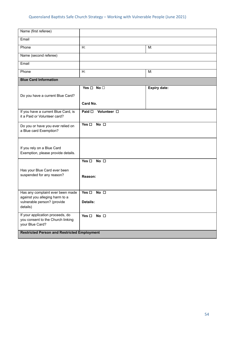#### Queensland Baptists Safe Church Strategy - Working with Vulnerable People (June 2021)

| Name (first referee)                                                                                          |                                               |                     |
|---------------------------------------------------------------------------------------------------------------|-----------------------------------------------|---------------------|
| Email                                                                                                         |                                               |                     |
| Phone                                                                                                         | H:                                            | M:                  |
| Name (second referee)                                                                                         |                                               |                     |
| Email                                                                                                         |                                               |                     |
| Phone                                                                                                         | H:                                            | M:                  |
| <b>Blue Card Information</b>                                                                                  |                                               |                     |
|                                                                                                               | Yes $\square$ No $\square$                    | <b>Expiry date:</b> |
| Do you have a current Blue Card?                                                                              |                                               |                     |
|                                                                                                               | Card No.                                      |                     |
| If you have a current Blue Card, is<br>it a Paid or Volunteer card?                                           | Paid □ Volunteer □                            |                     |
| Do you or have you ever relied on<br>a Blue card Exemption?                                                   | $Yes \Box No \Box$                            |                     |
| If you rely on a Blue Card<br>Exemption, please provide details.                                              |                                               |                     |
| Has your Blue Card ever been<br>suspended for any reason?                                                     | Yes $\square$ No $\square$<br>Reason:         |                     |
| Has any complaint ever been made<br>against you alleging harm to a<br>vulnerable person? (provide<br>details) | Yes $\square$ No $\square$<br><b>Details:</b> |                     |
| If your application proceeds, do<br>you consent to the Church linking<br>your Blue Card?                      | Yes $\square$ No $\square$                    |                     |
| <b>Restricted Person and Restricted Employment</b>                                                            |                                               |                     |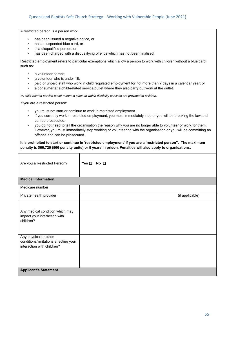A restricted person is a person who:

- has been issued a negative notice, or
- has a suspended blue card, or
- is a disqualified person, or
- has been charged with a disqualifying offence which has not been finalised.

Restricted employment refers to particular exemptions which allow a person to work with children without a blue card, such as:

- a volunteer parent;
- a volunteer who is under 18;
- paid or unpaid staff who work in child regulated employment for not more than 7 days in a calendar year; or
- a consumer at a child-related service outlet where they also carry out work at the outlet.

*\*A child-related service outlet means a place at which disability services are provided to children.*

If you are a restricted person:

- you must not start or continue to work in restricted employment.
- if you currently work in restricted employment, you must immediately stop or you will be breaking the law and can be prosecuted.
- you do not need to tell the organisation the reason why you are no longer able to volunteer or work for them. However, you must immediately stop working or volunteering with the organisation or you will be committing an offence and can be prosecuted.

#### **It is prohibited to start or continue in 'restricted employment' if you are a 'restricted person". The maximum penalty is \$66,725 (500 penalty units) or 5 years in prison. Penalties will also apply to organisations.**

| Are you a Restricted Person?                                                                 | No <sub>1</sub><br>Yes $\Box$ |
|----------------------------------------------------------------------------------------------|-------------------------------|
| <b>Medical Information</b>                                                                   |                               |
| Medicare number                                                                              |                               |
| Private health provider                                                                      | (if applicable)               |
| Any medical condition which may<br>impact your interaction with<br>children?                 |                               |
| Any physical or other<br>conditions/limitations affecting your<br>interaction with children? |                               |
| <b>Applicant's Statement</b>                                                                 |                               |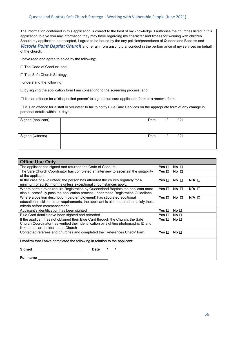#### Queensland Baptists Safe Church Strategy - Working with Vulnerable People (June 2021)

The information contained in this application is correct to the best of my knowledge. I authorise the churches listed in this application to give you any information they may have regarding my character and fitness for working with children. Should my application be accepted, I agree to be bound by the any policies/procedures of Queensland Baptists and *Victoria Point Baptist Church* and refrain from unscriptural conduct in the performance of my services on behalf of the church.

I have read and agree to abide by the following:

☐ The Code of Conduct; and

☐ This Safe Church Strategy.

I understand the following:

☐ by signing the application form I am consenting to the screening process; and

 $\Box$  it is an offence for a 'disqualified person' to sign a blue card application form or a renewal form.

 $\Box$  it is an offence for a staff or volunteer to fail to notify Blue Card Services on the appropriate form of any change in personal details within 14 days.

| Signed (applicant) | Date | / 21 |  |
|--------------------|------|------|--|
| Signed (witness)   | Date | / 21 |  |

| <b>Office Use Only</b>                                                                    |            |                 |              |  |
|-------------------------------------------------------------------------------------------|------------|-----------------|--------------|--|
| The applicant has signed and returned the Code of Conduct                                 | Yes ⊡      | No <sub>1</sub> |              |  |
| The Safe Church Coordinator has completed an interview to ascertain the suitability       | Yes □      | No <sub>1</sub> |              |  |
| of the applicant                                                                          |            |                 |              |  |
| In the case of a volunteer, the person has attended the church regularly for a            | Yes $\Box$ | No <sub>1</sub> | $N/A$ $\Box$ |  |
| minimum of six (6) months unless exceptional circumstances apply.                         |            |                 |              |  |
| Where certain roles require Registration by Queensland Baptists the applicant must        | Yes □      | No <sub>1</sub> | $N/A$ $\Box$ |  |
| also successfully pass the application process under those Registration Guidelines.       |            |                 |              |  |
| Where a position description (paid employment) has stipulated additional                  | Yes □      | No <sub>1</sub> | $N/A$ $\Box$ |  |
| educational, skill or other requirements, the applicant is also required to satisfy these |            |                 |              |  |
| criteria before commencement.                                                             |            |                 |              |  |
| Applicant's identification has been sighted                                               | Yes □      | No □            |              |  |
| Blue Card details have been sighted and recorded                                          | Yes ⊡      | No <sub>1</sub> |              |  |
| If the applicant has not obtained their Blue Card through the Church, the Safe            | Yes □      | No <sub>1</sub> |              |  |
| Church Coordinator has verified their identification by sighting photographic ID and      |            |                 |              |  |
| linked the card holder to the Church                                                      |            |                 |              |  |
| Contacted referees and churches and completed the 'References Check' form.                | Yes □      | No $\square$    |              |  |
| I confirm that I have completed the following in relation to the applicant:               |            |                 |              |  |
| Signed<br><b>Date</b>                                                                     |            |                 |              |  |
| <b>Full name</b>                                                                          |            |                 |              |  |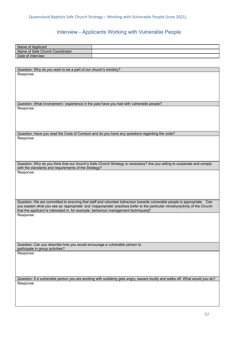### Interview - Applicants Working with Vulnerable People

<span id="page-56-0"></span>

| Name of Applicant                                                                        |                                                                                                                                                                                                                                                             |
|------------------------------------------------------------------------------------------|-------------------------------------------------------------------------------------------------------------------------------------------------------------------------------------------------------------------------------------------------------------|
| Name of Safe Church Coordinator                                                          |                                                                                                                                                                                                                                                             |
| Date of Interview                                                                        |                                                                                                                                                                                                                                                             |
|                                                                                          |                                                                                                                                                                                                                                                             |
|                                                                                          |                                                                                                                                                                                                                                                             |
| Question: Why do you want to be a part of our church's ministry?                         |                                                                                                                                                                                                                                                             |
| Response:                                                                                |                                                                                                                                                                                                                                                             |
|                                                                                          |                                                                                                                                                                                                                                                             |
|                                                                                          |                                                                                                                                                                                                                                                             |
|                                                                                          |                                                                                                                                                                                                                                                             |
|                                                                                          |                                                                                                                                                                                                                                                             |
|                                                                                          |                                                                                                                                                                                                                                                             |
| Question: What involvement / experience in the past have you had with vulnerable people? |                                                                                                                                                                                                                                                             |
| Response:                                                                                |                                                                                                                                                                                                                                                             |
|                                                                                          |                                                                                                                                                                                                                                                             |
|                                                                                          |                                                                                                                                                                                                                                                             |
|                                                                                          |                                                                                                                                                                                                                                                             |
|                                                                                          |                                                                                                                                                                                                                                                             |
|                                                                                          | Question: Have you read the Code of Conduct and do you have any questions regarding the code?                                                                                                                                                               |
| Response:                                                                                |                                                                                                                                                                                                                                                             |
|                                                                                          |                                                                                                                                                                                                                                                             |
|                                                                                          |                                                                                                                                                                                                                                                             |
|                                                                                          |                                                                                                                                                                                                                                                             |
|                                                                                          |                                                                                                                                                                                                                                                             |
|                                                                                          | Question: Why do you think that our church's Safe Church Strategy is necessary? Are you willing to cooperate and comply                                                                                                                                     |
| with the standards and requirements of the Strategy?                                     |                                                                                                                                                                                                                                                             |
| Response:                                                                                |                                                                                                                                                                                                                                                             |
|                                                                                          |                                                                                                                                                                                                                                                             |
|                                                                                          |                                                                                                                                                                                                                                                             |
|                                                                                          |                                                                                                                                                                                                                                                             |
|                                                                                          |                                                                                                                                                                                                                                                             |
|                                                                                          |                                                                                                                                                                                                                                                             |
|                                                                                          | Question: We are committed to ensuring that staff and volunteer behaviour towards vulnerable people is appropriate. Can<br>you explain what you see as 'appropriate' and 'inappropriate' practices [refer to the particular ministry/activity of the Church |
| that the applicant is interested in, for example, behaviour management techniques]?      |                                                                                                                                                                                                                                                             |
| Response:                                                                                |                                                                                                                                                                                                                                                             |
|                                                                                          |                                                                                                                                                                                                                                                             |
|                                                                                          |                                                                                                                                                                                                                                                             |
|                                                                                          |                                                                                                                                                                                                                                                             |
|                                                                                          |                                                                                                                                                                                                                                                             |
|                                                                                          |                                                                                                                                                                                                                                                             |
| Question: Can you describe how you would encourage a vulnerable person to                |                                                                                                                                                                                                                                                             |
| participate in group activities?                                                         |                                                                                                                                                                                                                                                             |
| Response:                                                                                |                                                                                                                                                                                                                                                             |
|                                                                                          |                                                                                                                                                                                                                                                             |
|                                                                                          |                                                                                                                                                                                                                                                             |
|                                                                                          |                                                                                                                                                                                                                                                             |
|                                                                                          |                                                                                                                                                                                                                                                             |
|                                                                                          | Question: If a vulnerable person you are working with suddenly gets angry, swears loudly and walks off. What would you do?                                                                                                                                  |
| Response:                                                                                |                                                                                                                                                                                                                                                             |
|                                                                                          |                                                                                                                                                                                                                                                             |
|                                                                                          |                                                                                                                                                                                                                                                             |
|                                                                                          |                                                                                                                                                                                                                                                             |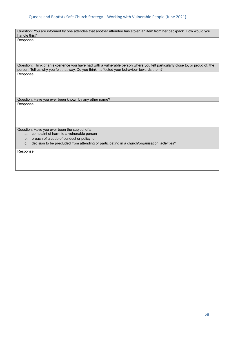#### Queensland Baptists Safe Church Strategy - Working with Vulnerable People (June 2021)

Question: You are informed by one attendee that another attendee has stolen an item from her backpack. How would you handle this? Response:

Question: Think of an experience you have had with a vulnerable person where you felt particularly close to, or proud of, the person. Tell us why you felt that way. Do you think it affected your behaviour towards them? Response:

Question: Have you ever been known by any other name? Response:

Question: Have you ever been the subject of a:

a. complaint of harm to a vulnerable person

b. breach of a code of conduct or policy; or

c. decision to be precluded from attending or participating in a church/organisation' activities?

Response: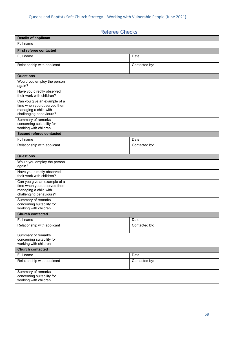### Referee Checks

<span id="page-58-0"></span>

| <b>Details of applicant</b>                                                                                     |               |
|-----------------------------------------------------------------------------------------------------------------|---------------|
| Full name                                                                                                       |               |
| <b>First referee contacted</b>                                                                                  |               |
| Full name                                                                                                       | Date          |
| Relationship with applicant                                                                                     | Contacted by: |
| <b>Questions</b>                                                                                                |               |
| Would you employ the person<br>again?                                                                           |               |
| Have you directly observed<br>their work with children?                                                         |               |
| Can you give an example of a<br>time when you observed them<br>managing a child with<br>challenging behaviours? |               |
| Summary of remarks<br>concerning suitability for<br>working with children                                       |               |
| Second referee contacted                                                                                        |               |
| Full name                                                                                                       | Date          |
| Relationship with applicant                                                                                     | Contacted by: |
| <b>Questions</b>                                                                                                |               |
| Would you employ the person<br>again?                                                                           |               |
| Have you directly observed<br>their work with children?                                                         |               |
| Can you give an example of a<br>time when you observed them<br>managing a child with<br>challenging behaviours? |               |
| Summary of remarks<br>concerning suitability for<br>working with children                                       |               |
| <b>Church contacted</b>                                                                                         |               |
| Full name                                                                                                       | Date          |
| Relationship with applicant                                                                                     | Contacted by: |
| Summary of remarks<br>concerning suitability for<br>working with children                                       |               |
| <b>Church contacted</b>                                                                                         |               |
| Full name                                                                                                       | Date          |
| Relationship with applicant                                                                                     | Contacted by: |
| Summary of remarks<br>concerning suitability for<br>working with children                                       |               |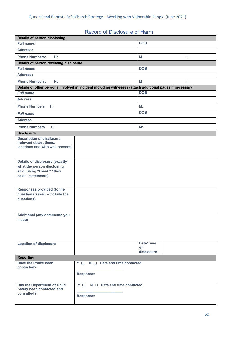### Record of Disclosure of Harm

<span id="page-59-0"></span>

| <b>Details of person disclosing</b>                                                                                      |                                                                                                          |                                      |
|--------------------------------------------------------------------------------------------------------------------------|----------------------------------------------------------------------------------------------------------|--------------------------------------|
| <b>Full name:</b>                                                                                                        |                                                                                                          | <b>DOB</b>                           |
| <b>Address:</b>                                                                                                          |                                                                                                          |                                      |
| <b>Phone Numbers:</b><br>H:                                                                                              |                                                                                                          | M<br>t.                              |
| Details of person receiving disclosure                                                                                   |                                                                                                          |                                      |
| Full name:                                                                                                               |                                                                                                          | <b>DOB</b>                           |
| <b>Address:</b>                                                                                                          |                                                                                                          |                                      |
| <b>Phone Numbers:</b><br>H:                                                                                              |                                                                                                          | M                                    |
|                                                                                                                          | Details of other persons involved in incident including witnesses (attach additional pages if necessary) |                                      |
| <b>Full name</b>                                                                                                         |                                                                                                          | <b>DOB</b>                           |
| <b>Address</b>                                                                                                           |                                                                                                          |                                      |
| <b>Phone Numbers</b><br>H:                                                                                               |                                                                                                          | M:                                   |
| <b>Full name</b>                                                                                                         |                                                                                                          | <b>DOB</b>                           |
| <b>Address</b>                                                                                                           |                                                                                                          |                                      |
| <b>Phone Numbers</b><br>H:                                                                                               |                                                                                                          | M:                                   |
| <b>Disclosure</b>                                                                                                        |                                                                                                          |                                      |
| <b>Description of disclosure</b><br>(relevant dates, times,<br>locations and who was present)                            |                                                                                                          |                                      |
| <b>Details of disclosure (exactly</b><br>what the person disclosing<br>said, using "I said," "they<br>said," statements) |                                                                                                          |                                      |
| Responses provided (to the<br>questions asked - include the<br>questions)                                                |                                                                                                          |                                      |
| <b>Additional (any comments you</b><br>made)                                                                             |                                                                                                          |                                      |
| <b>Location of disclosure</b>                                                                                            |                                                                                                          | <b>Date/Time</b><br>of<br>disclosure |
| <b>Reporting</b>                                                                                                         |                                                                                                          |                                      |
| <b>Have the Police been</b><br>contacted?                                                                                | $N \Box$ Date and time contacted<br>Y O<br><b>Response:</b>                                              |                                      |
|                                                                                                                          |                                                                                                          |                                      |
| <b>Has the Department of Child</b><br>Safety been contacted and<br>consulted?                                            | Y O<br>$N \Box$ Date and time contacted<br><b>Response:</b>                                              |                                      |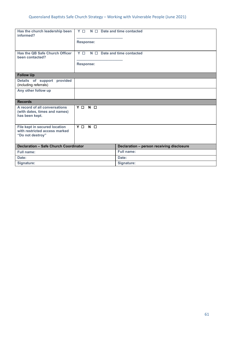<span id="page-60-0"></span>

| Has the church leadership been               | Y <sub>D</sub><br>$N \Box$ Date and time contacted |
|----------------------------------------------|----------------------------------------------------|
| informed?                                    |                                                    |
|                                              |                                                    |
|                                              | <b>Response:</b>                                   |
|                                              |                                                    |
| Has the QB Safe Church Officer               | Y O<br>$N \Box$ Date and time contacted            |
| been contacted?                              |                                                    |
|                                              | <b>Response:</b>                                   |
|                                              |                                                    |
| <b>Follow Up</b>                             |                                                    |
| Details of support provided                  |                                                    |
| (including referrals)                        |                                                    |
| Any other follow up                          |                                                    |
|                                              |                                                    |
| <b>Records</b>                               |                                                    |
| A record of all conversations                | Y O N O                                            |
| (with dates, times and names)                |                                                    |
| has been kept.                               |                                                    |
|                                              |                                                    |
| File kept in secured location                | Y O<br>$N$ $\Box$                                  |
| with restricted access marked                |                                                    |
| "Do not destroy"                             |                                                    |
|                                              |                                                    |
|                                              |                                                    |
| <b>Declaration - Safe Church Coordinator</b> | Declaration - person receiving disclosure          |
| <b>Full name:</b>                            | Full name:                                         |
| Date:                                        | Date:                                              |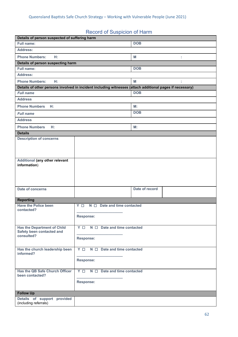### Record of Suspicion of Harm

| Details of person suspected of suffering harm        |                                                                                                          |
|------------------------------------------------------|----------------------------------------------------------------------------------------------------------|
| <b>Full name:</b>                                    | <b>DOB</b>                                                                                               |
| Address:                                             |                                                                                                          |
| <b>Phone Numbers:</b><br>H:                          | M<br>t.                                                                                                  |
| Details of person suspecting harm                    |                                                                                                          |
| Full name:                                           | <b>DOB</b>                                                                                               |
| <b>Address:</b>                                      |                                                                                                          |
| <b>Phone Numbers:</b><br>H:                          | M                                                                                                        |
|                                                      | Details of other persons involved in incident including witnesses (attach additional pages if necessary) |
| <b>Full name</b>                                     | <b>DOB</b>                                                                                               |
| <b>Address</b>                                       |                                                                                                          |
| <b>Phone Numbers H:</b>                              | M:                                                                                                       |
| <b>Full name</b>                                     | <b>DOB</b>                                                                                               |
| <b>Address</b>                                       |                                                                                                          |
| <b>Phone Numbers</b><br>H:                           | M:                                                                                                       |
| <b>Details</b>                                       |                                                                                                          |
| <b>Description of concerns</b>                       |                                                                                                          |
|                                                      |                                                                                                          |
|                                                      |                                                                                                          |
|                                                      |                                                                                                          |
| Additional (any other relevant<br>information)       |                                                                                                          |
|                                                      |                                                                                                          |
|                                                      |                                                                                                          |
|                                                      |                                                                                                          |
| Date of concerns                                     | Date of record                                                                                           |
|                                                      |                                                                                                          |
| <b>Reporting</b>                                     |                                                                                                          |
| <b>Have the Police been</b><br>contacted?            | $N \Box$ Date and time contacted<br>Y O                                                                  |
|                                                      | Response:                                                                                                |
|                                                      |                                                                                                          |
| <b>Has the Department of Child</b>                   | $Y \Box$ N $\Box$ Date and time contacted                                                                |
| Safety been contacted and<br>consulted?              |                                                                                                          |
|                                                      | <b>Response:</b>                                                                                         |
|                                                      |                                                                                                          |
| Has the church leadership been<br>informed?          | $Y \Box$ N $\Box$ Date and time contacted                                                                |
|                                                      | <b>Response:</b>                                                                                         |
|                                                      |                                                                                                          |
| Has the QB Safe Church Officer                       | $Y \Box$ N $\Box$ Date and time contacted                                                                |
| been contacted?                                      |                                                                                                          |
|                                                      | <b>Response:</b>                                                                                         |
|                                                      |                                                                                                          |
| <b>Follow Up</b>                                     |                                                                                                          |
| Details of support provided<br>(including referrals) |                                                                                                          |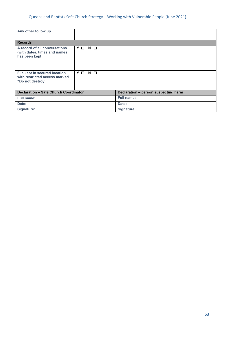#### Queensland Baptists Safe Church Strategy - Working with Vulnerable People (June 2021)

| Any other follow up                                                                |                   |                                      |
|------------------------------------------------------------------------------------|-------------------|--------------------------------------|
| <b>Records</b>                                                                     |                   |                                      |
| A record of all conversations<br>(with dates, times and names)<br>has been kept    | Y O<br>$N$ $\Box$ |                                      |
| File kept in secured location<br>with restricted access marked<br>"Do not destroy" | Y O<br>$N$ $\Box$ |                                      |
| <b>Declaration - Safe Church Coordinator</b>                                       |                   | Declaration - person suspecting harm |
| <b>Full name:</b>                                                                  |                   | <b>Full name:</b>                    |
| Date:                                                                              |                   | Date:                                |
| Signature:                                                                         |                   | Signature:                           |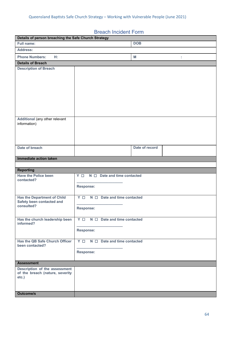### Breach Incident Form

<span id="page-63-0"></span>

| Details of person breaching the Safe Church Strategy             |                                           |
|------------------------------------------------------------------|-------------------------------------------|
| Full name:                                                       | <b>DOB</b>                                |
| <b>Address:</b>                                                  |                                           |
| <b>Phone Numbers:</b><br>H:                                      | M<br>÷                                    |
| <b>Details of Breach</b>                                         |                                           |
| <b>Description of Breach</b>                                     |                                           |
|                                                                  |                                           |
|                                                                  |                                           |
|                                                                  |                                           |
|                                                                  |                                           |
|                                                                  |                                           |
|                                                                  |                                           |
|                                                                  |                                           |
| Additional (any other relevant                                   |                                           |
| information)                                                     |                                           |
|                                                                  |                                           |
|                                                                  |                                           |
|                                                                  |                                           |
| Date of breach                                                   | Date of record                            |
|                                                                  |                                           |
| Immediate action taken                                           |                                           |
|                                                                  |                                           |
|                                                                  |                                           |
| <b>Reporting</b>                                                 |                                           |
| <b>Have the Police been</b><br>contacted?                        | $N \Box$ Date and time contacted<br>Y O   |
|                                                                  | <b>Response:</b>                          |
|                                                                  |                                           |
| <b>Has the Department of Child</b>                               | Y O<br>$N \Box$ Date and time contacted   |
| Safety been contacted and<br>consulted?                          |                                           |
|                                                                  | <b>Response:</b>                          |
|                                                                  |                                           |
| Has the church leadership been<br>informed?                      | $N \Box$ Date and time contacted<br>Y     |
|                                                                  | <b>Response:</b>                          |
|                                                                  |                                           |
| Has the QB Safe Church Officer                                   | $Y \Box$ N $\Box$ Date and time contacted |
| been contacted?                                                  |                                           |
|                                                                  | <b>Response:</b>                          |
|                                                                  |                                           |
| <b>Assessment</b>                                                |                                           |
| Description of the assessment<br>of the breach (nature, severity |                                           |
| etc.)                                                            |                                           |
|                                                                  |                                           |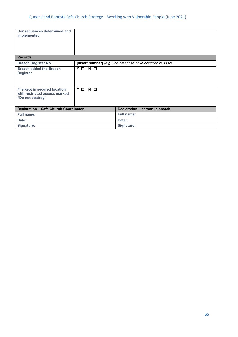<span id="page-64-0"></span>

| <b>Consequences determined and</b><br>implemented                                  |                   |                                                            |
|------------------------------------------------------------------------------------|-------------------|------------------------------------------------------------|
| <b>Records</b>                                                                     |                   |                                                            |
| <b>Breach Register No.</b>                                                         |                   | [insert number] (e.g. 2nd breach to have occurred is 0002) |
| <b>Breach added the Breach</b><br><b>Register</b>                                  | Y O N O           |                                                            |
| File kept in secured location<br>with restricted access marked<br>"Do not destroy" | Y O<br>$N$ $\Box$ |                                                            |
| <b>Declaration - Safe Church Coordinator</b><br>Declaration - person in breach     |                   |                                                            |
| <b>Full name:</b>                                                                  |                   | <b>Full name:</b>                                          |
| Date:                                                                              |                   | Date:                                                      |
| Signature:                                                                         |                   | Signature:                                                 |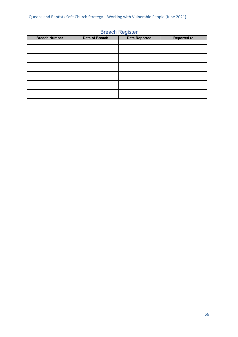|                      |                | ັ                    |                    |
|----------------------|----------------|----------------------|--------------------|
| <b>Breach Number</b> | Date of Breach | <b>Date Reported</b> | <b>Reported to</b> |
|                      |                |                      |                    |
|                      |                |                      |                    |
|                      |                |                      |                    |
|                      |                |                      |                    |
|                      |                |                      |                    |
|                      |                |                      |                    |
|                      |                |                      |                    |
|                      |                |                      |                    |
|                      |                |                      |                    |
|                      |                |                      |                    |
|                      |                |                      |                    |
|                      |                |                      |                    |
|                      |                |                      |                    |

#### Breach Register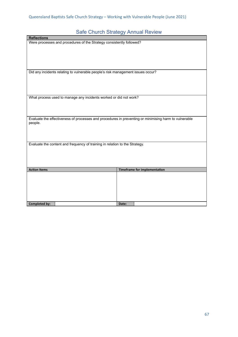### Safe Church Strategy Annual Review

<span id="page-66-0"></span>

| <b>Reflections</b>                                                                                    |                                     |  |
|-------------------------------------------------------------------------------------------------------|-------------------------------------|--|
| Were processes and procedures of the Strategy consistently followed?                                  |                                     |  |
|                                                                                                       |                                     |  |
|                                                                                                       |                                     |  |
|                                                                                                       |                                     |  |
|                                                                                                       |                                     |  |
|                                                                                                       |                                     |  |
| Did any incidents relating to vulnerable people's risk management issues occur?                       |                                     |  |
|                                                                                                       |                                     |  |
|                                                                                                       |                                     |  |
|                                                                                                       |                                     |  |
|                                                                                                       |                                     |  |
|                                                                                                       |                                     |  |
| What process used to manage any incidents worked or did not work?                                     |                                     |  |
|                                                                                                       |                                     |  |
|                                                                                                       |                                     |  |
|                                                                                                       |                                     |  |
| Evaluate the effectiveness of processes and procedures in preventing or minimising harm to vulnerable |                                     |  |
| people.                                                                                               |                                     |  |
|                                                                                                       |                                     |  |
|                                                                                                       |                                     |  |
|                                                                                                       |                                     |  |
|                                                                                                       |                                     |  |
| Evaluate the content and frequency of training in relation to the Strategy.                           |                                     |  |
|                                                                                                       |                                     |  |
|                                                                                                       |                                     |  |
|                                                                                                       |                                     |  |
|                                                                                                       |                                     |  |
| <b>Action Items</b>                                                                                   | <b>Timeframe for implementation</b> |  |
|                                                                                                       |                                     |  |
|                                                                                                       |                                     |  |
|                                                                                                       |                                     |  |
|                                                                                                       |                                     |  |
|                                                                                                       |                                     |  |
|                                                                                                       |                                     |  |
| <b>Completed by:</b>                                                                                  | Date:                               |  |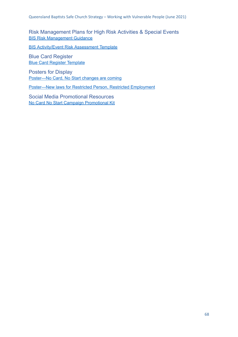<span id="page-67-0"></span>Risk Management Plans for High Risk Activities & Special Events BIS Risk [Management](https://www.qb.org.au/wp-content/uploads/2020/09/Queensland-childrens-RM-checklist-v3.pdf) Guidance

BIS [Activity/Event](https://www.qb.org.au/wp-content/uploads/2020/09/Qld-Child-Activity-Template-v2.doc) Risk Assessment Template

<span id="page-67-1"></span>Blue Card Register Blue Card Register [Template](https://www.publications.qld.gov.au/dataset/blue-card-system-compliance-information-and-resources/resource/c92d1c0b-5381-4993-a502-b4e2c96e5978)

<span id="page-67-2"></span>Posters for Display [Poster—No](https://www.qb.org.au/wp-content/uploads/2020/08/poster-no-card-no-start-changes-are-coming.pdf) Card, No Start changes are coming

[Poster—New](https://www.qb.org.au/wp-content/uploads/2020/08/poster-restricted-person-restricted-employment-new-laws.pdf) laws for Restricted Person, Restricted Employment

<span id="page-67-3"></span>Social Media Promotional Resources No Card No Start Campaign [Promotional](https://www.qb.org.au/wp-content/uploads/2020/08/no_card_no_start_-_blue_card_services_-_promotional_kit.pdf) Kit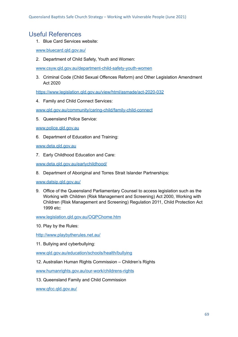### <span id="page-68-0"></span>Useful References

1. Blue Card Services website:

[www.bluecard.qld.gov.au/](http://www.bluecard.qld.gov.au/)

2. Department of Child Safety, Youth and Women:

[www.csyw.qld.gov.au/department-child-safety-youth-women](http://www.csyw.qld.gov.au/department-child-safety-youth-women)

3. Criminal Code (Child Sexual Offences Reform) and Other Legislation Amendment Act 2020

<https://www.legislation.qld.gov.au/view/html/asmade/act-2020-032>

4. Family and Child Connect Services:

[www.qld.gov.au/community/caring-child/family-child-connect](http://www.qld.gov.au/community/caring-child/family-child-connect)

5. Queensland Police Service:

[www.police.qld.gov.au](http://www.police.qld.gov.au/)

6. Department of Education and Training:

[www.deta.qld.gov.au](http://www.deta.qld.gov.au/)

7. Early Childhood Education and Care:

[www.deta.qld.gov.au/earlychildhood/](http://www.deta.qld.gov.au/earlychildhood/)

8. Department of Aboriginal and Torres Strait Islander Partnerships:

[www.datsip.qld.gov.au/](http://www.datsip.qld.gov.au/)

9. Office of the Queensland Parliamentary Counsel to access legislation such as the Working with Children (Risk Management and Screening) Act 2000, Working with Children (Risk Management and Screening) Regulation 2011, Child Protection Act 1999 etc:

[www.legislation.qld.gov.au/OQPChome.htm](http://www.legislation.qld.gov.au/OQPChome.htm)

10. Play by the Rules:

<http://www.playbytherules.net.au/>

11. Bullying and cyberbullying:

[www.qld.gov.au/education/schools/health/bullying](http://www.qld.gov.au/education/schools/health/bullying)

12. Australian Human Rights Commission – Children's Rights

[www.humanrights.gov.au/our-work/childrens-rights](http://www.humanrights.gov.au/our-work/childrens-rights)

13. Queensland Family and Child Commission

[www.qfcc.qld.gov.au/](http://www.qfcc.qld.gov.au/)